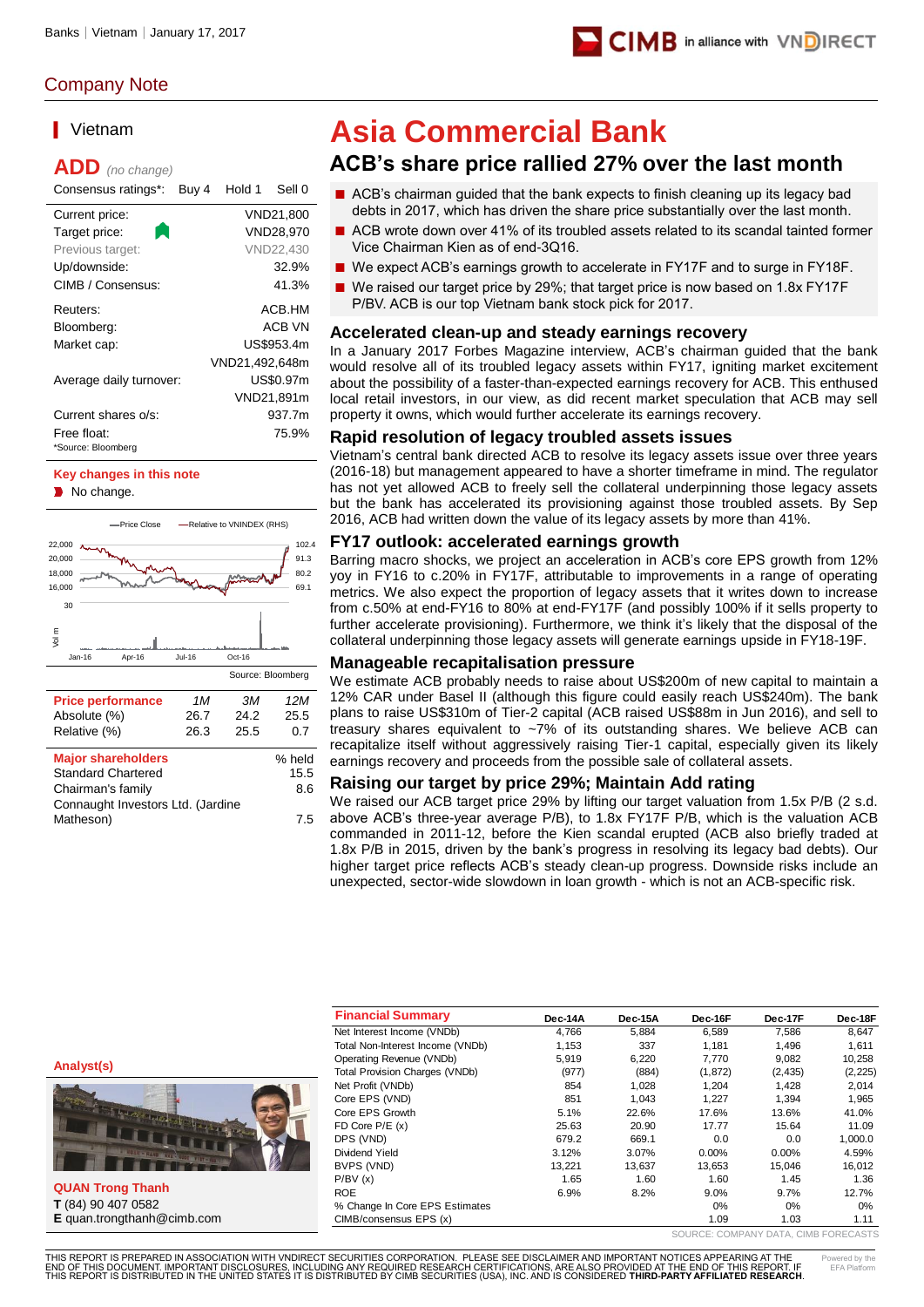

## Company Note

## ■ Vietnam

## **ADD** *(no change)*

| Consensus ratings*:               | Buy 4 | Hold 1         | Sell 0     |
|-----------------------------------|-------|----------------|------------|
| Current price:                    |       |                | VND21.800  |
| Target price:                     |       |                | VND28,970  |
| Previous target:                  |       |                | VND22,430  |
| Up/downside:                      |       |                | 32.9%      |
| CIMB / Consensus:                 |       |                | 41.3%      |
| Reuters:                          |       |                | ACB.HM     |
| Bloomberg:                        |       |                | ACB VN     |
| Market cap:                       |       |                | US\$953.4m |
|                                   |       | VND21,492,648m |            |
| Average daily turnover:           |       |                | US\$0.97m  |
|                                   |       |                | VND21,891m |
| Current shares o/s:               |       |                | 937.7m     |
| Free float:<br>*Source: Bloomberg |       |                | 75.9%      |
|                                   |       |                |            |

#### **Key changes in this note**

No change.



| <b>Major shareholders</b>                      | % held |
|------------------------------------------------|--------|
| <b>Standard Chartered</b>                      | 15.5   |
| Chairman's family                              | 8.6    |
| Connaught Investors Ltd. (Jardine<br>Matheson) | 7.5    |

# **Asia Commercial Bank**

## **ACB's share price rallied 27% over the last month**

- ACB's chairman guided that the bank expects to finish cleaning up its legacy bad debts in 2017, which has driven the share price substantially over the last month.
- ACB wrote down over 41% of its troubled assets related to its scandal tainted former Vice Chairman Kien as of end-3Q16.
- We expect ACB's earnings growth to accelerate in FY17F and to surge in FY18F.
- We raised our target price by 29%; that target price is now based on 1.8x FY17F P/BV. ACB is our top Vietnam bank stock pick for 2017.

#### **Accelerated clean-up and steady earnings recovery**

In a January 2017 Forbes Magazine interview, ACB's chairman guided that the bank would resolve all of its troubled legacy assets within FY17, igniting market excitement about the possibility of a faster-than-expected earnings recovery for ACB. This enthused local retail investors, in our view, as did recent market speculation that ACB may sell property it owns, which would further accelerate its earnings recovery.

## **Rapid resolution of legacy troubled assets issues**

Vietnam's central bank directed ACB to resolve its legacy assets issue over three years (2016-18) but management appeared to have a shorter timeframe in mind. The regulator has not yet allowed ACB to freely sell the collateral underpinning those legacy assets but the bank has accelerated its provisioning against those troubled assets. By Sep 2016, ACB had written down the value of its legacy assets by more than 41%.

#### **FY17 outlook: accelerated earnings growth**

Barring macro shocks, we project an acceleration in ACB's core EPS growth from 12% yoy in FY16 to c.20% in FY17F, attributable to improvements in a range of operating metrics. We also expect the proportion of legacy assets that it writes down to increase from c.50% at end-FY16 to 80% at end-FY17F (and possibly 100% if it sells property to further accelerate provisioning). Furthermore, we think it's likely that the disposal of the collateral underpinning those legacy assets will generate earnings upside in FY18-19F.

## **Manageable recapitalisation pressure**

We estimate ACB probably needs to raise about US\$200m of new capital to maintain a 12% CAR under Basel II (although this figure could easily reach US\$240m). The bank plans to raise US\$310m of Tier-2 capital (ACB raised US\$88m in Jun 2016), and sell to treasury shares equivalent to ~7% of its outstanding shares. We believe ACB can recapitalize itself without aggressively raising Tier-1 capital, especially given its likely earnings recovery and proceeds from the possible sale of collateral assets.

## **Raising our target by price 29%; Maintain Add rating**

We raised our ACB target price 29% by lifting our target valuation from 1.5x P/B (2 s.d. above ACB's three-year average P/B), to 1.8x FY17F P/B, which is the valuation ACB commanded in 2011-12, before the Kien scandal erupted (ACB also briefly traded at 1.8x P/B in 2015, driven by the bank's progress in resolving its legacy bad debts). Our higher target price reflects ACB's steady clean-up progress. Downside risks include an unexpected, sector-wide slowdown in loan growth - which is not an ACB-specific risk.

**Analyst(s)**



**QUAN Trong Thanh T** (84) 90 407 0582 **E** quan.trongthanh@cimb.com

| <b>Financial Summary</b>              | Dec-14A | Dec-15A | Dec-16F  | Dec-17F  | Dec-18F  |
|---------------------------------------|---------|---------|----------|----------|----------|
| Net Interest Income (VNDb)            | 4.766   | 5.884   | 6.589    | 7.586    | 8,647    |
| Total Non-Interest Income (VNDb)      | 1,153   | 337     | 1.181    | 1.496    | 1,611    |
| Operating Revenue (VNDb)              | 5,919   | 6,220   | 7,770    | 9,082    | 10,258   |
| <b>Total Provision Charges (VNDb)</b> | (977)   | (884)   | (1, 872) | (2, 435) | (2, 225) |
| Net Profit (VNDb)                     | 854     | 1.028   | 1.204    | 1.428    | 2,014    |
| Core EPS (VND)                        | 851     | 1.043   | 1.227    | 1.394    | 1,965    |
| Core EPS Growth                       | 5.1%    | 22.6%   | 17.6%    | 13.6%    | 41.0%    |
| FD Core $P/E(x)$                      | 25.63   | 20.90   | 17.77    | 15.64    | 11.09    |
| DPS (VND)                             | 679.2   | 669.1   | 0.0      | 0.0      | 1,000.0  |
| Dividend Yield                        | 3.12%   | 3.07%   | $0.00\%$ | $0.00\%$ | 4.59%    |
| BVPS (VND)                            | 13,221  | 13.637  | 13.653   | 15.046   | 16,012   |
| P/BV(x)                               | 1.65    | 1.60    | 1.60     | 1.45     | 1.36     |
| <b>ROE</b>                            | 6.9%    | 8.2%    | 9.0%     | 9.7%     | 12.7%    |
| % Change In Core EPS Estimates        |         |         | $0\%$    | 0%       | 0%       |
| CIMB/consensus EPS (x)                |         |         | 1.09     | 1.03     | 1.11     |

SOURCE: COMPANY DATA, CIMB FORECASTS

THIS REPORT IS PREPARED IN ASSOCIATION WITH VNDIRECT SECURITIES CORPORATION. PLEASE SEE DISCLAIMER AND IMPORTANT NOTICES APPEARING AT THE<br>END OF THIS DOCUMENT. IMPORTANT DISCLOSURES, INCLUDING ANY REQUIRED RESEARCH CERTIFI Powered by the EFA Platform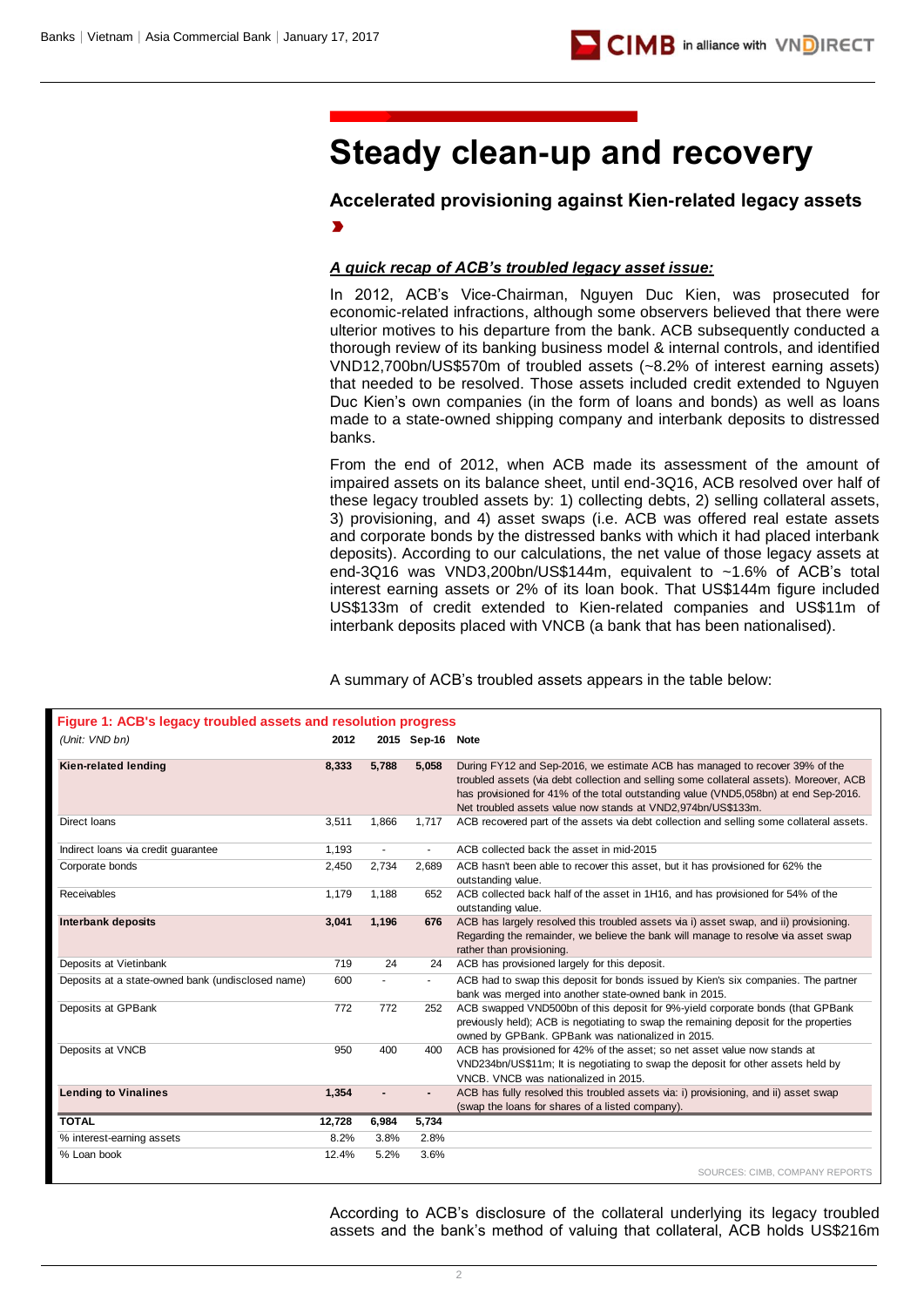

# **Steady clean-up and recovery**

# **Accelerated provisioning against Kien-related legacy assets**

## *A quick recap of ACB's troubled legacy asset issue:*

In 2012, ACB's Vice-Chairman, Nguyen Duc Kien, was prosecuted for economic-related infractions, although some observers believed that there were ulterior motives to his departure from the bank. ACB subsequently conducted a thorough review of its banking business model & internal controls, and identified VND12,700bn/US\$570m of troubled assets (~8.2% of interest earning assets) that needed to be resolved. Those assets included credit extended to Nguyen Duc Kien's own companies (in the form of loans and bonds) as well as loans made to a state-owned shipping company and interbank deposits to distressed banks.

From the end of 2012, when ACB made its assessment of the amount of impaired assets on its balance sheet, until end-3Q16, ACB resolved over half of these legacy troubled assets by: 1) collecting debts, 2) selling collateral assets, 3) provisioning, and 4) asset swaps (i.e. ACB was offered real estate assets and corporate bonds by the distressed banks with which it had placed interbank deposits). According to our calculations, the net value of those legacy assets at end-3Q16 was VND3,200bn/US\$144m, equivalent to ~1.6% of ACB's total interest earning assets or 2% of its loan book. That US\$144m figure included US\$133m of credit extended to Kien-related companies and US\$11m of interbank deposits placed with VNCB (a bank that has been nationalised).

A summary of ACB's troubled assets appears in the table below:

| Figure 1: ACB's legacy troubled assets and resolution progress |        |                |                          |                                                                                                                                                                                                                                                                                                                                |  |
|----------------------------------------------------------------|--------|----------------|--------------------------|--------------------------------------------------------------------------------------------------------------------------------------------------------------------------------------------------------------------------------------------------------------------------------------------------------------------------------|--|
| (Unit: VND bn)                                                 | 2012   |                | 2015 Sep-16 Note         |                                                                                                                                                                                                                                                                                                                                |  |
| Kien-related lending                                           | 8,333  | 5,788          | 5,058                    | During FY12 and Sep-2016, we estimate ACB has managed to recover 39% of the<br>troubled assets (via debt collection and selling some collateral assets). Moreover, ACB<br>has provisioned for 41% of the total outstanding value (VND5,058bn) at end Sep-2016.<br>Net troubled assets value now stands at VND2.974bn/US\$133m. |  |
| Direct loans                                                   | 3,511  | 1,866          | 1.717                    | ACB recovered part of the assets via debt collection and selling some collateral assets.                                                                                                                                                                                                                                       |  |
| Indirect loans via credit guarantee                            | 1,193  | $\blacksquare$ | $\sim$                   | ACB collected back the asset in mid-2015                                                                                                                                                                                                                                                                                       |  |
| Corporate bonds                                                | 2,450  | 2,734          | 2,689                    | ACB hasn't been able to recover this asset, but it has provisioned for 62% the<br>outstanding value.                                                                                                                                                                                                                           |  |
| Receivables                                                    | 1,179  | 1,188          | 652                      | ACB collected back half of the asset in 1H16, and has provisioned for 54% of the<br>outstanding value.                                                                                                                                                                                                                         |  |
| <b>Interbank deposits</b>                                      | 3,041  | 1.196          | 676                      | ACB has largely resolved this troubled assets via i) asset swap, and ii) provisioning.<br>Regarding the remainder, we believe the bank will manage to resolve via asset swap<br>rather than provisioning.                                                                                                                      |  |
| Deposits at Vietinbank                                         | 719    | 24             | 24                       | ACB has provisioned largely for this deposit.                                                                                                                                                                                                                                                                                  |  |
| Deposits at a state-owned bank (undisclosed name)              | 600    |                | $\overline{\phantom{0}}$ | ACB had to swap this deposit for bonds issued by Kien's six companies. The partner<br>bank was merged into another state-owned bank in 2015.                                                                                                                                                                                   |  |
| Deposits at GPBank                                             | 772    | 772            | 252                      | ACB swapped VND500bn of this deposit for 9%-yield corporate bonds (that GPBank<br>previously held); ACB is negotiating to swap the remaining deposit for the properties<br>owned by GPBank. GPBank was nationalized in 2015.                                                                                                   |  |
| Deposits at VNCB                                               | 950    | 400            | 400                      | ACB has provisioned for 42% of the asset; so net asset value now stands at<br>VND234bn/US\$11m; It is negotiating to swap the deposit for other assets held by<br>VNCB. VNCB was nationalized in 2015.                                                                                                                         |  |
| <b>Lending to Vinalines</b>                                    | 1,354  |                | $\overline{\phantom{0}}$ | ACB has fully resolved this troubled assets via: i) provisioning, and ii) asset swap<br>(swap the loans for shares of a listed company).                                                                                                                                                                                       |  |
| <b>TOTAL</b>                                                   | 12,728 | 6,984          | 5,734                    |                                                                                                                                                                                                                                                                                                                                |  |
| % interest-earning assets                                      | 8.2%   | 3.8%           | 2.8%                     |                                                                                                                                                                                                                                                                                                                                |  |
| % Loan book                                                    | 12.4%  | 5.2%           | 3.6%                     |                                                                                                                                                                                                                                                                                                                                |  |
|                                                                |        |                |                          | SOURCES: CIMB, COMPANY REPORTS                                                                                                                                                                                                                                                                                                 |  |

According to ACB's disclosure of the collateral underlying its legacy troubled assets and the bank's method of valuing that collateral, ACB holds US\$216m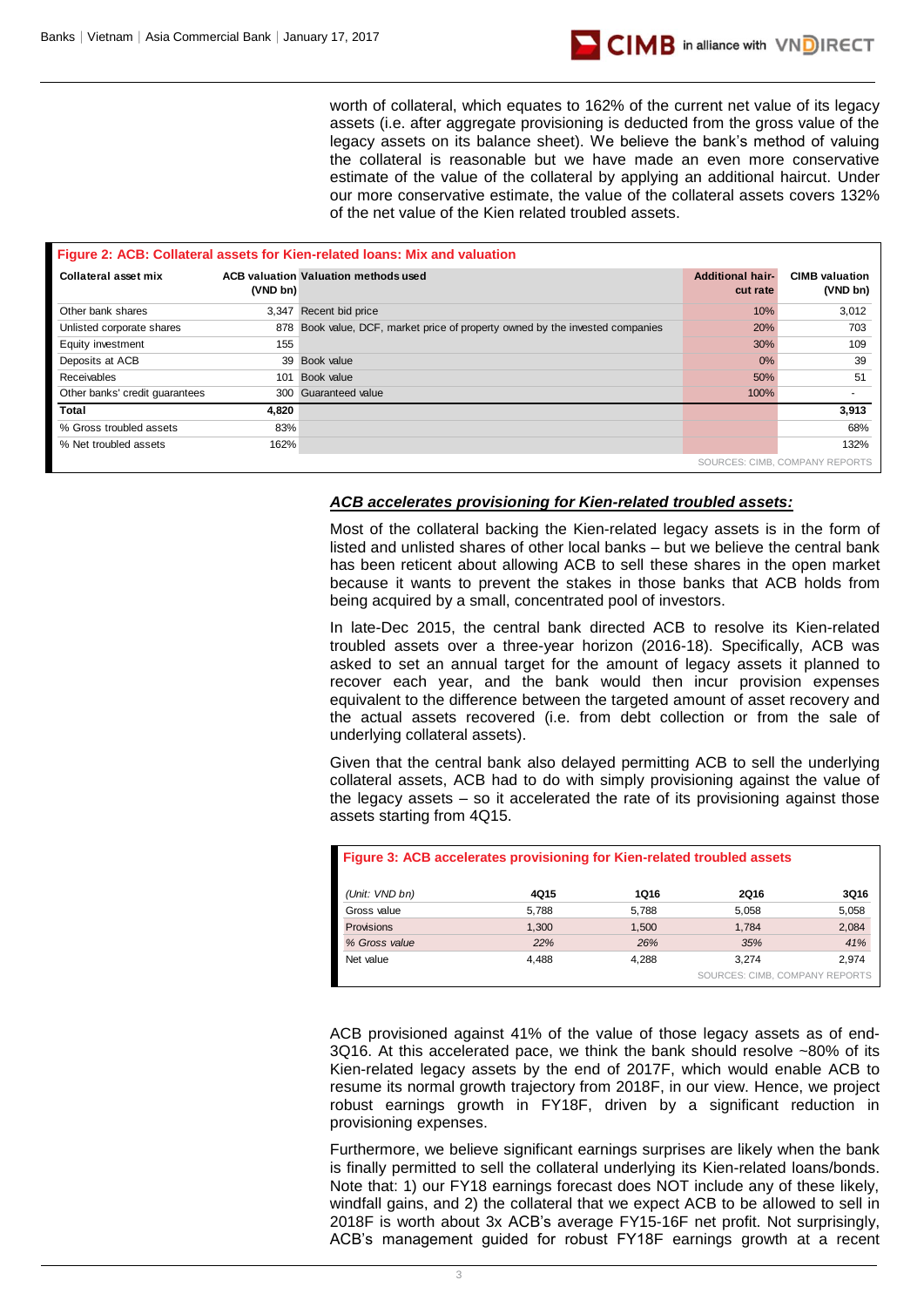

worth of collateral, which equates to 162% of the current net value of its legacy assets (i.e. after aggregate provisioning is deducted from the gross value of the legacy assets on its balance sheet). We believe the bank's method of valuing the collateral is reasonable but we have made an even more conservative estimate of the value of the collateral by applying an additional haircut. Under our more conservative estimate, the value of the collateral assets covers 132% of the net value of the Kien related troubled assets.

| Figure 2: ACB: Collateral assets for Kien-related loans: Mix and valuation |          |                                                                           |                                     |                                   |  |
|----------------------------------------------------------------------------|----------|---------------------------------------------------------------------------|-------------------------------------|-----------------------------------|--|
| Collateral asset mix                                                       | (VND bn) | <b>ACB valuation Valuation methods used</b>                               | <b>Additional hair-</b><br>cut rate | <b>CIMB</b> valuation<br>(VND bn) |  |
| Other bank shares                                                          | 3,347    | Recent bid price                                                          | 10%                                 | 3,012                             |  |
| Unlisted corporate shares                                                  | 878      | Book value, DCF, market price of property owned by the invested companies | 20%                                 | 703                               |  |
| Equity investment                                                          | 155      |                                                                           | 30%                                 | 109                               |  |
| Deposits at ACB                                                            | 39       | Book value                                                                | 0%                                  | 39                                |  |
| Receivables                                                                | 101      | Book value                                                                | 50%                                 | 51                                |  |
| Other banks' credit quarantees                                             | 300      | Guaranteed value                                                          | 100%                                |                                   |  |
| Total                                                                      | 4.820    |                                                                           |                                     | 3,913                             |  |
| % Gross troubled assets                                                    | 83%      |                                                                           |                                     | 68%                               |  |
| % Net troubled assets                                                      | 162%     |                                                                           |                                     | 132%                              |  |
|                                                                            |          |                                                                           |                                     | SOURCES: CIMB, COMPANY REPORTS    |  |

#### *ACB accelerates provisioning for Kien-related troubled assets:*

Most of the collateral backing the Kien-related legacy assets is in the form of listed and unlisted shares of other local banks – but we believe the central bank has been reticent about allowing ACB to sell these shares in the open market because it wants to prevent the stakes in those banks that ACB holds from being acquired by a small, concentrated pool of investors.

In late-Dec 2015, the central bank directed ACB to resolve its Kien-related troubled assets over a three-year horizon (2016-18). Specifically, ACB was asked to set an annual target for the amount of legacy assets it planned to recover each year, and the bank would then incur provision expenses equivalent to the difference between the targeted amount of asset recovery and the actual assets recovered (i.e. from debt collection or from the sale of underlying collateral assets).

Given that the central bank also delayed permitting ACB to sell the underlying collateral assets, ACB had to do with simply provisioning against the value of the legacy assets – so it accelerated the rate of its provisioning against those assets starting from 4Q15.

| Figure 3: ACB accelerates provisioning for Kien-related troubled assets |       |       |                                |             |
|-------------------------------------------------------------------------|-------|-------|--------------------------------|-------------|
| (Unit: VND bn)                                                          | 4Q15  | 1Q16  | <b>2Q16</b>                    | <b>3Q16</b> |
| Gross value                                                             | 5,788 | 5,788 | 5.058                          | 5,058       |
| Provisions                                                              | 1,300 | 1.500 | 1.784                          | 2,084       |
| % Gross value                                                           | 22%   | 26%   | 35%                            | 41%         |
| Net value                                                               | 4.488 | 4.288 | 3.274                          | 2.974       |
|                                                                         |       |       | SOURCES: CIMB. COMPANY REPORTS |             |

ACB provisioned against 41% of the value of those legacy assets as of end-3Q16. At this accelerated pace, we think the bank should resolve ~80% of its Kien-related legacy assets by the end of 2017F, which would enable ACB to resume its normal growth trajectory from 2018F, in our view. Hence, we project robust earnings growth in FY18F, driven by a significant reduction in provisioning expenses.

Furthermore, we believe significant earnings surprises are likely when the bank is finally permitted to sell the collateral underlying its Kien-related loans/bonds. Note that: 1) our FY18 earnings forecast does NOT include any of these likely, windfall gains, and 2) the collateral that we expect ACB to be allowed to sell in 2018F is worth about 3x ACB's average FY15-16F net profit. Not surprisingly, ACB's management guided for robust FY18F earnings growth at a recent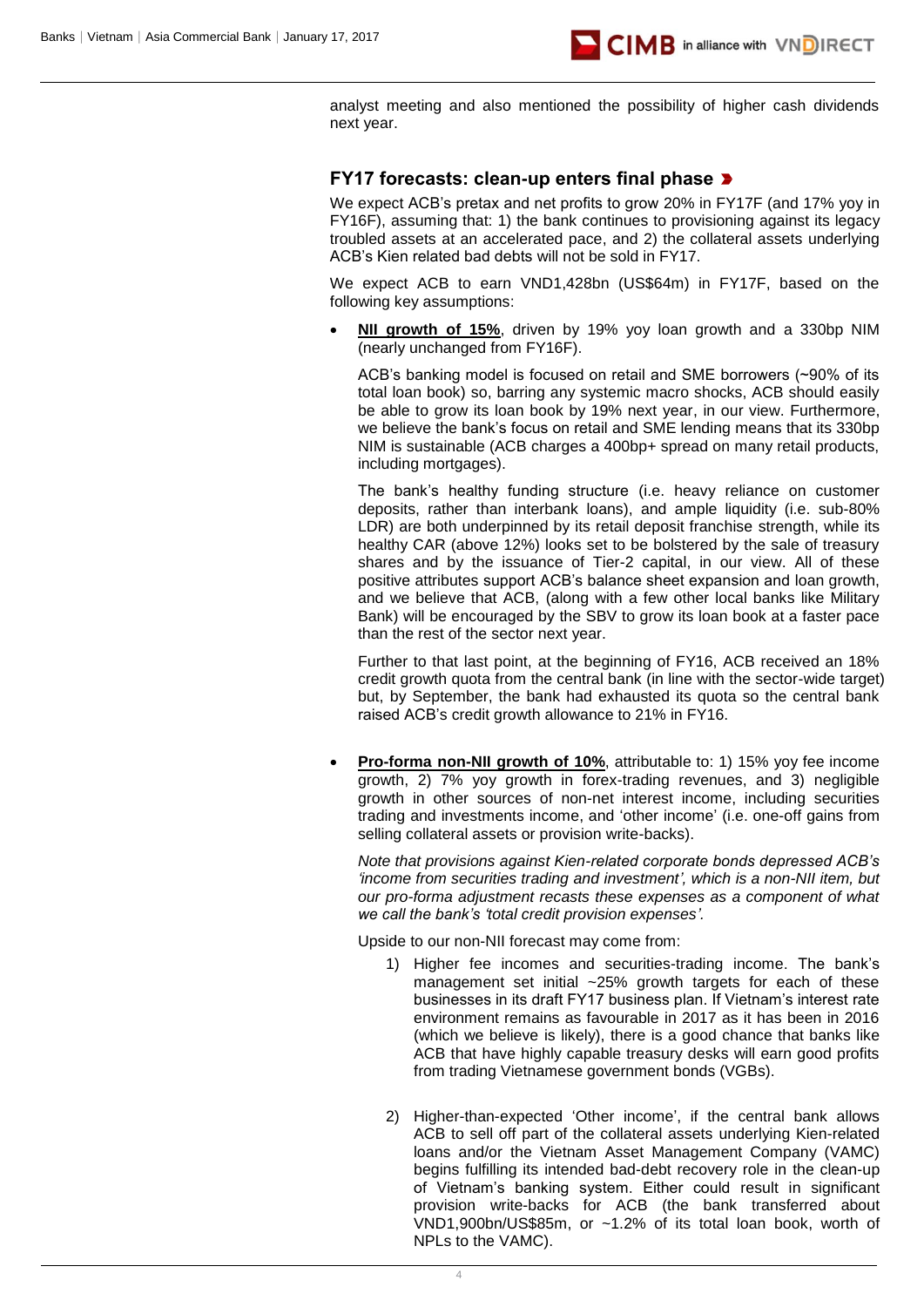

analyst meeting and also mentioned the possibility of higher cash dividends next year.

## **FY17 forecasts: clean-up enters final phase**

We expect ACB's pretax and net profits to grow 20% in FY17F (and 17% yoy in FY16F), assuming that: 1) the bank continues to provisioning against its legacy troubled assets at an accelerated pace, and 2) the collateral assets underlying ACB's Kien related bad debts will not be sold in FY17.

We expect ACB to earn VND1,428bn (US\$64m) in FY17F, based on the following key assumptions:

 **NII growth of 15%**, driven by 19% yoy loan growth and a 330bp NIM (nearly unchanged from FY16F).

ACB's banking model is focused on retail and SME borrowers (~90% of its total loan book) so, barring any systemic macro shocks, ACB should easily be able to grow its loan book by 19% next year, in our view. Furthermore, we believe the bank's focus on retail and SME lending means that its 330bp NIM is sustainable (ACB charges a 400bp+ spread on many retail products, including mortgages).

The bank's healthy funding structure (i.e. heavy reliance on customer deposits, rather than interbank loans), and ample liquidity (i.e. sub-80% LDR) are both underpinned by its retail deposit franchise strength, while its healthy CAR (above 12%) looks set to be bolstered by the sale of treasury shares and by the issuance of Tier-2 capital, in our view. All of these positive attributes support ACB's balance sheet expansion and loan growth, and we believe that ACB, (along with a few other local banks like Military Bank) will be encouraged by the SBV to grow its loan book at a faster pace than the rest of the sector next year.

Further to that last point, at the beginning of FY16, ACB received an 18% credit growth quota from the central bank (in line with the sector-wide target) but, by September, the bank had exhausted its quota so the central bank raised ACB's credit growth allowance to 21% in FY16.

**Pro-forma non-NII growth of 10%**, attributable to: 1) 15% yoy fee income growth, 2) 7% yoy growth in forex-trading revenues, and 3) negligible growth in other sources of non-net interest income, including securities trading and investments income, and 'other income' (i.e. one-off gains from selling collateral assets or provision write-backs).

*Note that provisions against Kien-related corporate bonds depressed ACB's 'income from securities trading and investment', which is a non-NII item, but our pro-forma adjustment recasts these expenses as a component of what we call the bank's 'total credit provision expenses'.*

Upside to our non-NII forecast may come from:

- 1) Higher fee incomes and securities-trading income. The bank's management set initial ~25% growth targets for each of these businesses in its draft FY17 business plan. If Vietnam's interest rate environment remains as favourable in 2017 as it has been in 2016 (which we believe is likely), there is a good chance that banks like ACB that have highly capable treasury desks will earn good profits from trading Vietnamese government bonds (VGBs).
- 2) Higher-than-expected 'Other income', if the central bank allows ACB to sell off part of the collateral assets underlying Kien-related loans and/or the Vietnam Asset Management Company (VAMC) begins fulfilling its intended bad-debt recovery role in the clean-up of Vietnam's banking system. Either could result in significant provision write-backs for ACB (the bank transferred about VND1,900bn/US\$85m, or ~1.2% of its total loan book, worth of NPLs to the VAMC).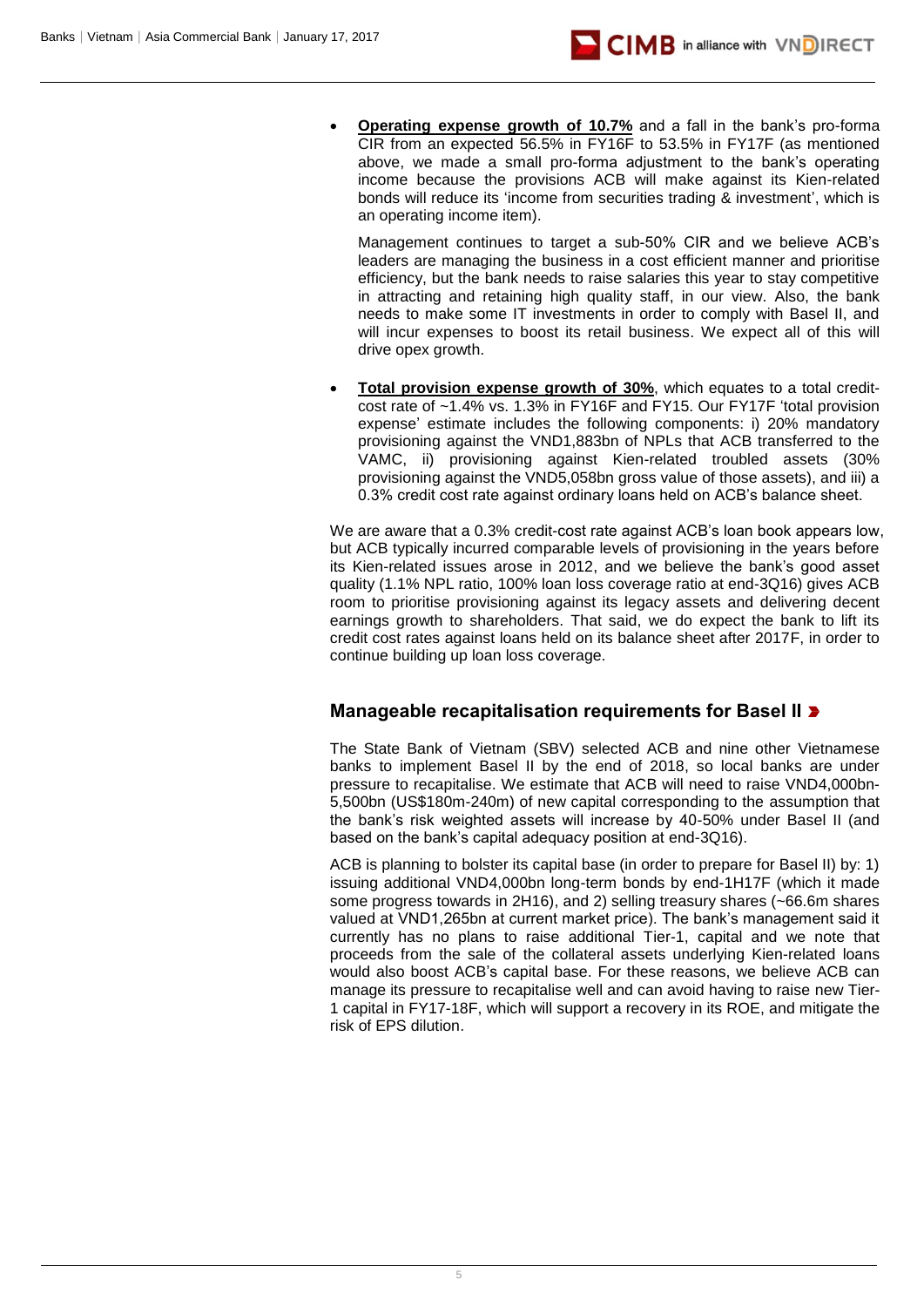

 **Operating expense growth of 10.7%** and a fall in the bank's pro-forma CIR from an expected 56.5% in FY16F to 53.5% in FY17F (as mentioned above, we made a small pro-forma adjustment to the bank's operating income because the provisions ACB will make against its Kien-related bonds will reduce its 'income from securities trading & investment', which is an operating income item).

Management continues to target a sub-50% CIR and we believe ACB's leaders are managing the business in a cost efficient manner and prioritise efficiency, but the bank needs to raise salaries this year to stay competitive in attracting and retaining high quality staff, in our view. Also, the bank needs to make some IT investments in order to comply with Basel II, and will incur expenses to boost its retail business. We expect all of this will drive opex growth.

 **Total provision expense growth of 30%**, which equates to a total creditcost rate of ~1.4% vs. 1.3% in FY16F and FY15. Our FY17F 'total provision expense' estimate includes the following components: i) 20% mandatory provisioning against the VND1,883bn of NPLs that ACB transferred to the VAMC, ii) provisioning against Kien-related troubled assets (30% provisioning against the VND5,058bn gross value of those assets), and iii) a 0.3% credit cost rate against ordinary loans held on ACB's balance sheet.

We are aware that a 0.3% credit-cost rate against ACB's loan book appears low, but ACB typically incurred comparable levels of provisioning in the years before its Kien-related issues arose in 2012, and we believe the bank's good asset quality (1.1% NPL ratio, 100% loan loss coverage ratio at end-3Q16) gives ACB room to prioritise provisioning against its legacy assets and delivering decent earnings growth to shareholders. That said, we do expect the bank to lift its credit cost rates against loans held on its balance sheet after 2017F, in order to continue building up loan loss coverage.

## **Manageable recapitalisation requirements for Basel II**

The State Bank of Vietnam (SBV) selected ACB and nine other Vietnamese banks to implement Basel II by the end of 2018, so local banks are under pressure to recapitalise. We estimate that ACB will need to raise VND4,000bn-5,500bn (US\$180m-240m) of new capital corresponding to the assumption that the bank's risk weighted assets will increase by 40-50% under Basel II (and based on the bank's capital adequacy position at end-3Q16).

ACB is planning to bolster its capital base (in order to prepare for Basel II) by: 1) issuing additional VND4,000bn long-term bonds by end-1H17F (which it made some progress towards in 2H16), and 2) selling treasury shares (~66.6m shares valued at VND1,265bn at current market price). The bank's management said it currently has no plans to raise additional Tier-1, capital and we note that proceeds from the sale of the collateral assets underlying Kien-related loans would also boost ACB's capital base. For these reasons, we believe ACB can manage its pressure to recapitalise well and can avoid having to raise new Tier-1 capital in FY17-18F, which will support a recovery in its ROE, and mitigate the risk of EPS dilution.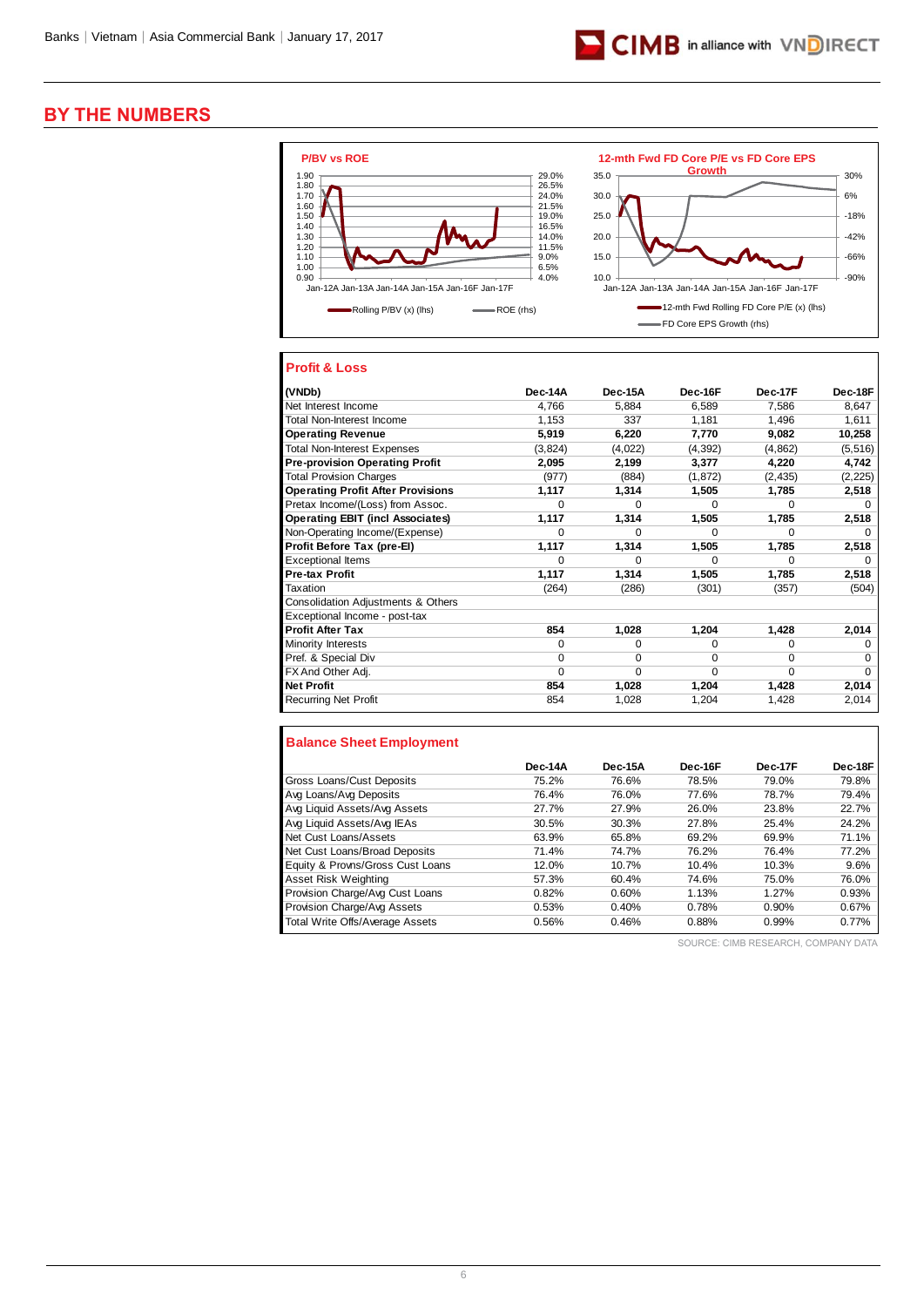

## **BY THE NUMBERS**



## **Profit & Loss**

| (VNDb)                                   | Dec-14A | Dec-15A | Dec-16F  | Dec-17F  | Dec-18F  |
|------------------------------------------|---------|---------|----------|----------|----------|
| Net Interest Income                      | 4,766   | 5,884   | 6,589    | 7,586    | 8,647    |
| Total Non-Interest Income                | 1,153   | 337     | 1,181    | 1,496    | 1,611    |
| <b>Operating Revenue</b>                 | 5,919   | 6,220   | 7,770    | 9,082    | 10,258   |
| <b>Total Non-Interest Expenses</b>       | (3,824) | (4,022) | (4, 392) | (4,862)  | (5, 516) |
| <b>Pre-provision Operating Profit</b>    | 2,095   | 2,199   | 3,377    | 4,220    | 4,742    |
| <b>Total Provision Charges</b>           | (977)   | (884)   | (1, 872) | (2, 435) | (2, 225) |
| <b>Operating Profit After Provisions</b> | 1,117   | 1,314   | 1,505    | 1,785    | 2,518    |
| Pretax Income/(Loss) from Assoc.         | 0       | o       | $\Omega$ | 0        | $\Omega$ |
| <b>Operating EBIT (incl Associates)</b>  | 1,117   | 1,314   | 1,505    | 1,785    | 2,518    |
| Non-Operating Income/(Expense)           | 0       | 0       | 0        | 0        | $\Omega$ |
| Profit Before Tax (pre-El)               | 1,117   | 1,314   | 1,505    | 1,785    | 2,518    |
| <b>Exceptional Items</b>                 | 0       | 0       | 0        | 0        | 0        |
| <b>Pre-tax Profit</b>                    | 1,117   | 1,314   | 1,505    | 1,785    | 2,518    |
| Taxation                                 | (264)   | (286)   | (301)    | (357)    | (504)    |
| Consolidation Adjustments & Others       |         |         |          |          |          |
| Exceptional Income - post-tax            |         |         |          |          |          |
| <b>Profit After Tax</b>                  | 854     | 1,028   | 1,204    | 1,428    | 2,014    |
| <b>Minority Interests</b>                | 0       | 0       | $\Omega$ | $\Omega$ | $\Omega$ |
| Pref. & Special Div                      | 0       | 0       | $\Omega$ | $\Omega$ | $\Omega$ |
| FX And Other Adj.                        | 0       | 0       | $\Omega$ | 0        | $\Omega$ |
| <b>Net Profit</b>                        | 854     | 1,028   | 1,204    | 1,428    | 2,014    |
| <b>Recurring Net Profit</b>              | 854     | 1,028   | 1,204    | 1,428    | 2,014    |

#### **Balance Sheet Employment**

|                                  | Dec-14A | Dec-15A | Dec-16F | Dec-17F | Dec-18F |
|----------------------------------|---------|---------|---------|---------|---------|
| Gross Loans/Cust Deposits        | 75.2%   | 76.6%   | 78.5%   | 79.0%   | 79.8%   |
| Avg Loans/Avg Deposits           | 76.4%   | 76.0%   | 77.6%   | 78.7%   | 79.4%   |
| Avg Liquid Assets/Avg Assets     | 27.7%   | 27.9%   | 26.0%   | 23.8%   | 22.7%   |
| Avg Liquid Assets/Avg IEAs       | 30.5%   | 30.3%   | 27.8%   | 25.4%   | 24.2%   |
| Net Cust Loans/Assets            | 63.9%   | 65.8%   | 69.2%   | 69.9%   | 71.1%   |
| Net Cust Loans/Broad Deposits    | 71.4%   | 74.7%   | 76.2%   | 76.4%   | 77.2%   |
| Equity & Provns/Gross Cust Loans | 12.0%   | 10.7%   | 10.4%   | 10.3%   | 9.6%    |
| Asset Risk Weighting             | 57.3%   | 60.4%   | 74.6%   | 75.0%   | 76.0%   |
| Provision Charge/Avg Cust Loans  | 0.82%   | 0.60%   | 1.13%   | 1.27%   | 0.93%   |
| Provision Charge/Avg Assets      | 0.53%   | 0.40%   | 0.78%   | 0.90%   | 0.67%   |
| Total Write Offs/Average Assets  | 0.56%   | 0.46%   | 0.88%   | 0.99%   | 0.77%   |

SOURCE: CIMB RESEARCH, COMPANY DATA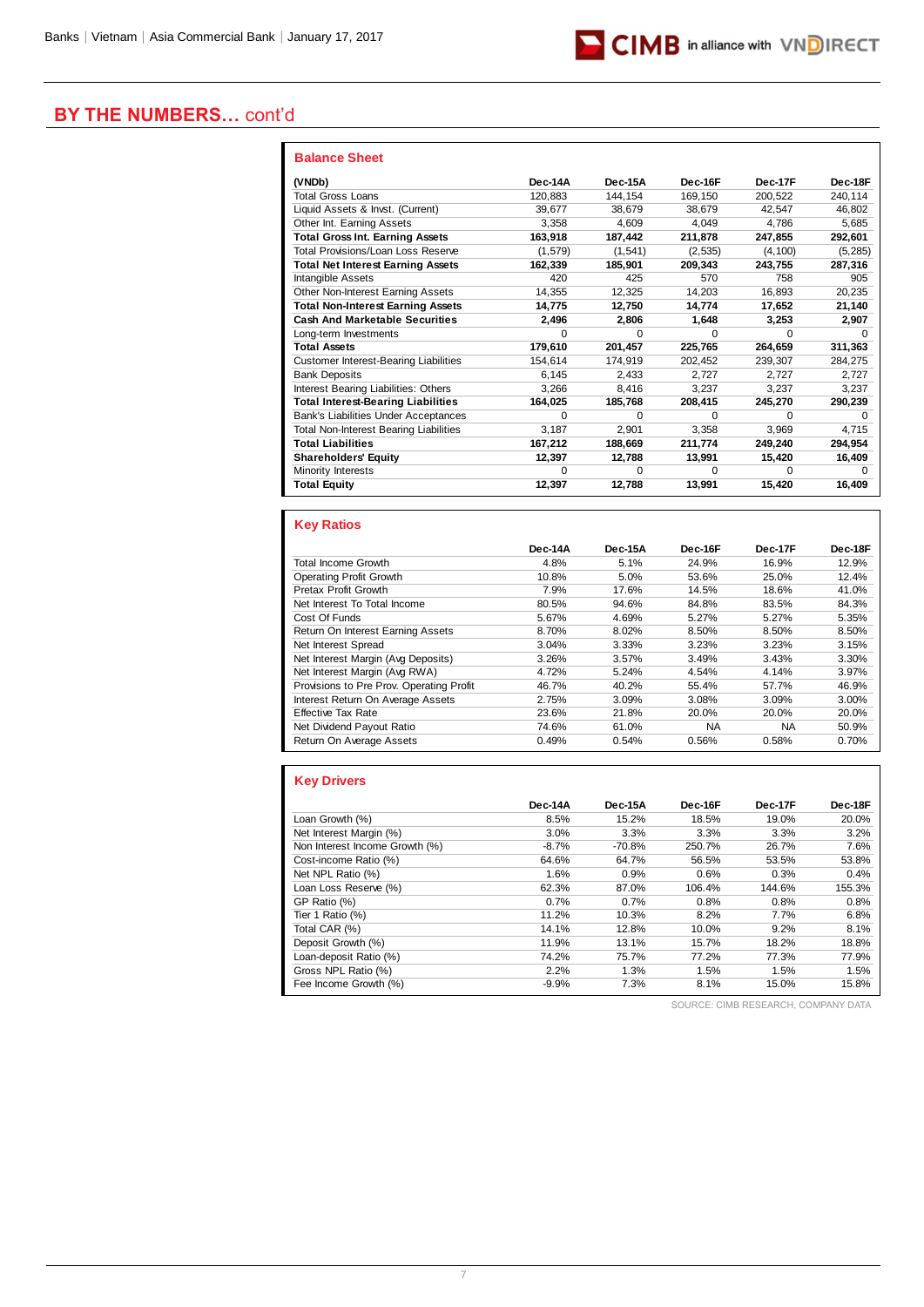

## **BY THE NUMBERS…** cont'd

| <b>Balance Sheet</b>                          |          |          |          |          |          |
|-----------------------------------------------|----------|----------|----------|----------|----------|
| (VNDb)                                        | Dec-14A  | Dec-15A  | Dec-16F  | Dec-17F  | Dec-18F  |
| <b>Total Gross Loans</b>                      | 120,883  | 144,154  | 169,150  | 200,522  | 240,114  |
| Liquid Assets & Invst. (Current)              | 39,677   | 38,679   | 38,679   | 42,547   | 46,802   |
| Other Int. Earning Assets                     | 3,358    | 4.609    | 4.049    | 4.786    | 5,685    |
| <b>Total Gross Int. Earning Assets</b>        | 163,918  | 187,442  | 211,878  | 247,855  | 292,601  |
| <b>Total Provisions/Loan Loss Reserve</b>     | (1,579)  | (1, 541) | (2,535)  | (4, 100) | (5, 285) |
| <b>Total Net Interest Earning Assets</b>      | 162,339  | 185.901  | 209,343  | 243,755  | 287,316  |
| <b>Intangible Assets</b>                      | 420      | 425      | 570      | 758      | 905      |
| Other Non-Interest Earning Assets             | 14,355   | 12,325   | 14,203   | 16,893   | 20,235   |
| <b>Total Non-Interest Earning Assets</b>      | 14,775   | 12,750   | 14,774   | 17,652   | 21,140   |
| <b>Cash And Marketable Securities</b>         | 2,496    | 2,806    | 1,648    | 3,253    | 2,907    |
| Long-term Investments                         | $\Omega$ | $\Omega$ | 0        | 0        | $\Omega$ |
| <b>Total Assets</b>                           | 179,610  | 201,457  | 225,765  | 264.659  | 311,363  |
| <b>Customer Interest-Bearing Liabilities</b>  | 154.614  | 174.919  | 202,452  | 239.307  | 284,275  |
| <b>Bank Deposits</b>                          | 6,145    | 2.433    | 2.727    | 2.727    | 2,727    |
| Interest Bearing Liabilities: Others          | 3,266    | 8,416    | 3.237    | 3,237    | 3,237    |
| <b>Total Interest-Bearing Liabilities</b>     | 164,025  | 185,768  | 208,415  | 245.270  | 290,239  |
| Bank's Liabilities Under Acceptances          | 0        | 0        | 0        | 0        | $\Omega$ |
| <b>Total Non-Interest Bearing Liabilities</b> | 3,187    | 2,901    | 3,358    | 3,969    | 4,715    |
| <b>Total Liabilities</b>                      | 167,212  | 188,669  | 211,774  | 249,240  | 294,954  |
| <b>Shareholders' Equity</b>                   | 12,397   | 12,788   | 13,991   | 15,420   | 16,409   |
| Minority Interests                            | $\Omega$ | $\Omega$ | $\Omega$ | $\Omega$ | $\Omega$ |
| <b>Total Equity</b>                           | 12,397   | 12,788   | 13,991   | 15,420   | 16,409   |

## **Key Ratios**

|                                          | Dec-14A | Dec-15A | Dec-16F   | Dec-17F   | Dec-18F |
|------------------------------------------|---------|---------|-----------|-----------|---------|
| Total Income Growth                      | 4.8%    | 5.1%    | 24.9%     | 16.9%     | 12.9%   |
| <b>Operating Profit Growth</b>           | 10.8%   | 5.0%    | 53.6%     | 25.0%     | 12.4%   |
| Pretax Profit Growth                     | 7.9%    | 17.6%   | 14.5%     | 18.6%     | 41.0%   |
| Net Interest To Total Income             | 80.5%   | 94.6%   | 84.8%     | 83.5%     | 84.3%   |
| Cost Of Funds                            | 5.67%   | 4.69%   | 5.27%     | 5.27%     | 5.35%   |
| Return On Interest Earning Assets        | 8.70%   | 8.02%   | 8.50%     | 8.50%     | 8.50%   |
| Net Interest Spread                      | 3.04%   | 3.33%   | 3.23%     | 3.23%     | 3.15%   |
| Net Interest Margin (Avg Deposits)       | 3.26%   | 3.57%   | 3.49%     | 3.43%     | 3.30%   |
| Net Interest Margin (Avg RWA)            | 4.72%   | 5.24%   | 4.54%     | 4.14%     | 3.97%   |
| Provisions to Pre Prov. Operating Profit | 46.7%   | 40.2%   | 55.4%     | 57.7%     | 46.9%   |
| Interest Return On Average Assets        | 2.75%   | 3.09%   | 3.08%     | 3.09%     | 3.00%   |
| <b>Effective Tax Rate</b>                | 23.6%   | 21.8%   | 20.0%     | 20.0%     | 20.0%   |
| Net Dividend Payout Ratio                | 74.6%   | 61.0%   | <b>NA</b> | <b>NA</b> | 50.9%   |
| Return On Average Assets                 | 0.49%   | 0.54%   | 0.56%     | 0.58%     | 0.70%   |

#### **Key Drivers**

|                                | Dec-14A | Dec-15A  | Dec-16F | Dec-17F | Dec-18F |
|--------------------------------|---------|----------|---------|---------|---------|
| Loan Growth (%)                | 8.5%    | 15.2%    | 18.5%   | 19.0%   | 20.0%   |
| Net Interest Margin (%)        | 3.0%    | 3.3%     | 3.3%    | 3.3%    | 3.2%    |
| Non Interest Income Growth (%) | $-8.7%$ | $-70.8%$ | 250.7%  | 26.7%   | 7.6%    |
| Cost-income Ratio (%)          | 64.6%   | 64.7%    | 56.5%   | 53.5%   | 53.8%   |
| Net NPL Ratio (%)              | 1.6%    | 0.9%     | 0.6%    | 0.3%    | 0.4%    |
| Loan Loss Reserve (%)          | 62.3%   | 87.0%    | 106.4%  | 144.6%  | 155.3%  |
| GP Ratio (%)                   | 0.7%    | 0.7%     | 0.8%    | 0.8%    | 0.8%    |
| Tier 1 Ratio (%)               | 11.2%   | 10.3%    | 8.2%    | 7.7%    | 6.8%    |
| Total CAR (%)                  | 14.1%   | 12.8%    | 10.0%   | 9.2%    | 8.1%    |
| Deposit Growth (%)             | 11.9%   | 13.1%    | 15.7%   | 18.2%   | 18.8%   |
| Loan-deposit Ratio (%)         | 74.2%   | 75.7%    | 77.2%   | 77.3%   | 77.9%   |
| Gross NPL Ratio (%)            | 2.2%    | 1.3%     | 1.5%    | 1.5%    | 1.5%    |
| Fee Income Growth (%)          | $-9.9%$ | 7.3%     | 8.1%    | 15.0%   | 15.8%   |

SOURCE: CIMB RESEARCH, COMPANY DATA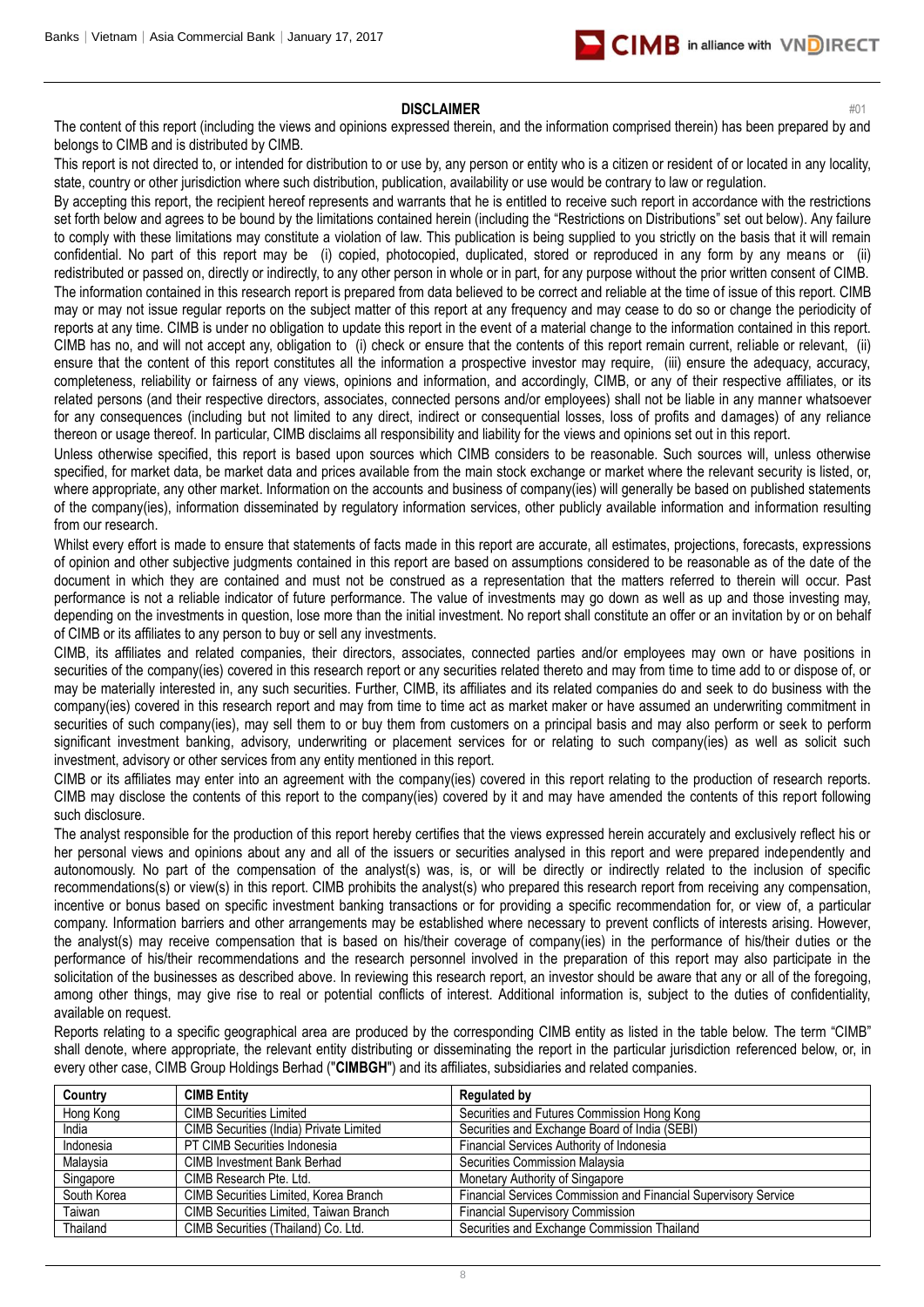

#### **DISCLAIMER** #01

The content of this report (including the views and opinions expressed therein, and the information comprised therein) has been prepared by and belongs to CIMB and is distributed by CIMB.

This report is not directed to, or intended for distribution to or use by, any person or entity who is a citizen or resident of or located in any locality, state, country or other jurisdiction where such distribution, publication, availability or use would be contrary to law or regulation.

By accepting this report, the recipient hereof represents and warrants that he is entitled to receive such report in accordance with the restrictions set forth below and agrees to be bound by the limitations contained herein (including the "Restrictions on Distributions" set out below). Any failure to comply with these limitations may constitute a violation of law. This publication is being supplied to you strictly on the basis that it will remain confidential. No part of this report may be (i) copied, photocopied, duplicated, stored or reproduced in any form by any means or (ii) redistributed or passed on, directly or indirectly, to any other person in whole or in part, for any purpose without the prior written consent of CIMB. The information contained in this research report is prepared from data believed to be correct and reliable at the time of issue of this report. CIMB may or may not issue regular reports on the subject matter of this report at any frequency and may cease to do so or change the periodicity of reports at any time. CIMB is under no obligation to update this report in the event of a material change to the information contained in this report. CIMB has no, and will not accept any, obligation to (i) check or ensure that the contents of this report remain current, reliable or relevant, (ii) ensure that the content of this report constitutes all the information a prospective investor may require, (iii) ensure the adequacy, accuracy, completeness, reliability or fairness of any views, opinions and information, and accordingly, CIMB, or any of their respective affiliates, or its related persons (and their respective directors, associates, connected persons and/or employees) shall not be liable in any manner whatsoever for any consequences (including but not limited to any direct, indirect or consequential losses, loss of profits and damages) of any reliance thereon or usage thereof. In particular, CIMB disclaims all responsibility and liability for the views and opinions set out in this report.

Unless otherwise specified, this report is based upon sources which CIMB considers to be reasonable. Such sources will, unless otherwise specified, for market data, be market data and prices available from the main stock exchange or market where the relevant security is listed, or, where appropriate, any other market. Information on the accounts and business of company(ies) will generally be based on published statements of the company(ies), information disseminated by regulatory information services, other publicly available information and information resulting from our research.

Whilst every effort is made to ensure that statements of facts made in this report are accurate, all estimates, projections, forecasts, expressions of opinion and other subjective judgments contained in this report are based on assumptions considered to be reasonable as of the date of the document in which they are contained and must not be construed as a representation that the matters referred to therein will occur. Past performance is not a reliable indicator of future performance. The value of investments may go down as well as up and those investing may, depending on the investments in question, lose more than the initial investment. No report shall constitute an offer or an invitation by or on behalf of CIMB or its affiliates to any person to buy or sell any investments.

CIMB, its affiliates and related companies, their directors, associates, connected parties and/or employees may own or have positions in securities of the company(ies) covered in this research report or any securities related thereto and may from time to time add to or dispose of, or may be materially interested in, any such securities. Further, CIMB, its affiliates and its related companies do and seek to do business with the company(ies) covered in this research report and may from time to time act as market maker or have assumed an underwriting commitment in securities of such company(ies), may sell them to or buy them from customers on a principal basis and may also perform or seek to perform significant investment banking, advisory, underwriting or placement services for or relating to such company(ies) as well as solicit such investment, advisory or other services from any entity mentioned in this report.

CIMB or its affiliates may enter into an agreement with the company(ies) covered in this report relating to the production of research reports. CIMB may disclose the contents of this report to the company(ies) covered by it and may have amended the contents of this report following such disclosure.

The analyst responsible for the production of this report hereby certifies that the views expressed herein accurately and exclusively reflect his or her personal views and opinions about any and all of the issuers or securities analysed in this report and were prepared independently and autonomously. No part of the compensation of the analyst(s) was, is, or will be directly or indirectly related to the inclusion of specific recommendations(s) or view(s) in this report. CIMB prohibits the analyst(s) who prepared this research report from receiving any compensation, incentive or bonus based on specific investment banking transactions or for providing a specific recommendation for, or view of, a particular company. Information barriers and other arrangements may be established where necessary to prevent conflicts of interests arising. However, the analyst(s) may receive compensation that is based on his/their coverage of company(ies) in the performance of his/their duties or the performance of his/their recommendations and the research personnel involved in the preparation of this report may also participate in the solicitation of the businesses as described above. In reviewing this research report, an investor should be aware that any or all of the foregoing, among other things, may give rise to real or potential conflicts of interest. Additional information is, subject to the duties of confidentiality, available on request.

Reports relating to a specific geographical area are produced by the corresponding CIMB entity as listed in the table below. The term "CIMB" shall denote, where appropriate, the relevant entity distributing or disseminating the report in the particular jurisdiction referenced below, or, in every other case, CIMB Group Holdings Berhad ("**CIMBGH**") and its affiliates, subsidiaries and related companies.

| Country     | <b>CIMB Entity</b>                            | <b>Regulated by</b>                                             |
|-------------|-----------------------------------------------|-----------------------------------------------------------------|
| Hong Kong   | <b>CIMB Securities Limited</b>                | Securities and Futures Commission Hong Kong                     |
| India       | CIMB Securities (India) Private Limited       | Securities and Exchange Board of India (SEBI)                   |
| Indonesia   | PT CIMB Securities Indonesia                  | Financial Services Authority of Indonesia                       |
| Malaysia    | CIMB Investment Bank Berhad                   | Securities Commission Malaysia                                  |
| Singapore   | CIMB Research Pte. Ltd.                       | Monetary Authority of Singapore                                 |
| South Korea | CIMB Securities Limited, Korea Branch         | Financial Services Commission and Financial Supervisory Service |
| Taiwan      | <b>CIMB Securities Limited, Taiwan Branch</b> | <b>Financial Supervisory Commission</b>                         |
| Thailand    | CIMB Securities (Thailand) Co. Ltd.           | Securities and Exchange Commission Thailand                     |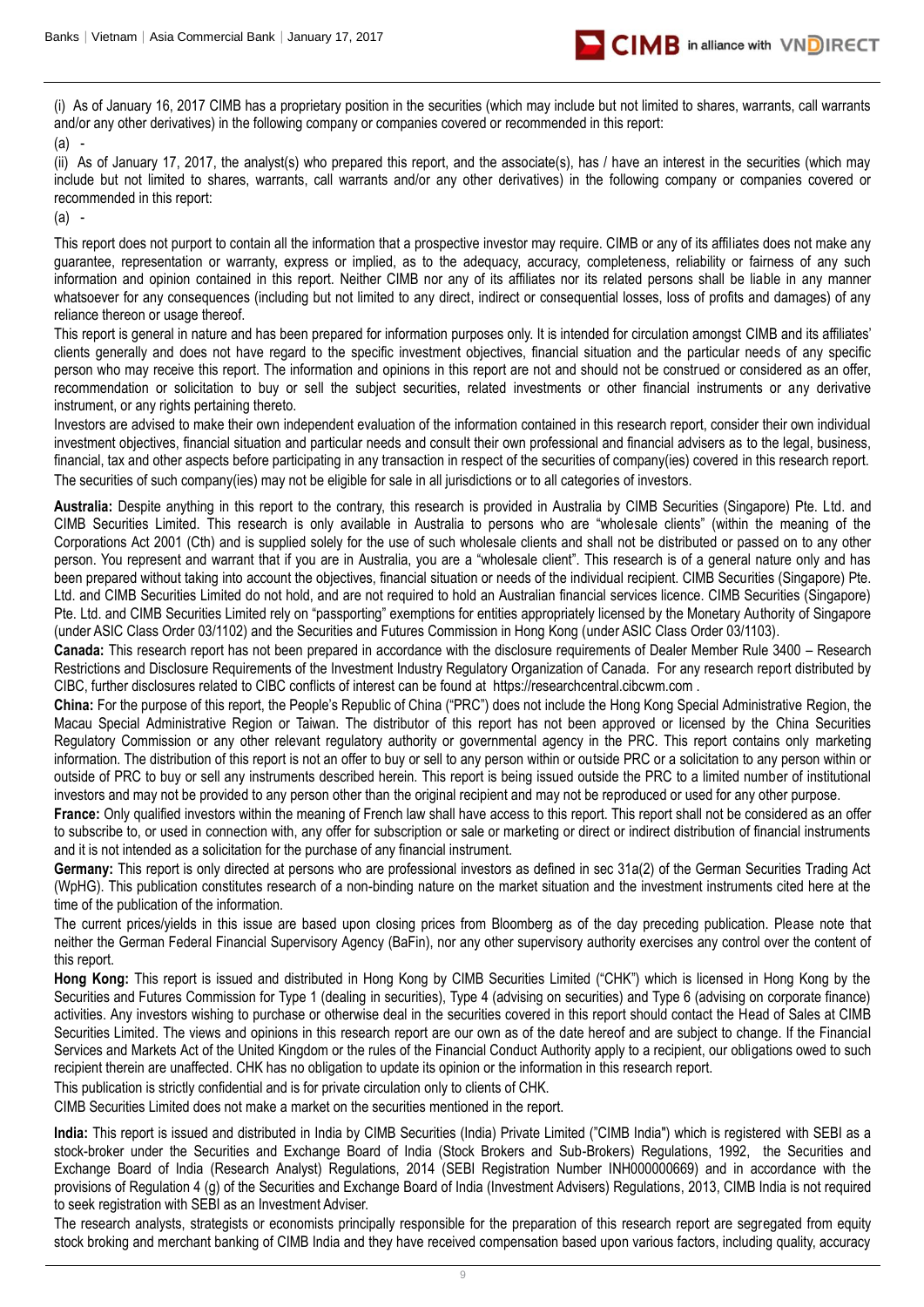

(i) As of January 16, 2017 CIMB has a proprietary position in the securities (which may include but not limited to shares, warrants, call warrants and/or any other derivatives) in the following company or companies covered or recommended in this report:

(a) -

(ii) As of January 17, 2017, the analyst(s) who prepared this report, and the associate(s), has / have an interest in the securities (which may include but not limited to shares, warrants, call warrants and/or any other derivatives) in the following company or companies covered or recommended in this report:

(a) -

This report does not purport to contain all the information that a prospective investor may require. CIMB or any of its affiliates does not make any guarantee, representation or warranty, express or implied, as to the adequacy, accuracy, completeness, reliability or fairness of any such information and opinion contained in this report. Neither CIMB nor any of its affiliates nor its related persons shall be liable in any manner whatsoever for any consequences (including but not limited to any direct, indirect or consequential losses, loss of profits and damages) of any reliance thereon or usage thereof.

This report is general in nature and has been prepared for information purposes only. It is intended for circulation amongst CIMB and its affiliates' clients generally and does not have regard to the specific investment objectives, financial situation and the particular needs of any specific person who may receive this report. The information and opinions in this report are not and should not be construed or considered as an offer, recommendation or solicitation to buy or sell the subject securities, related investments or other financial instruments or any derivative instrument, or any rights pertaining thereto.

Investors are advised to make their own independent evaluation of the information contained in this research report, consider their own individual investment objectives, financial situation and particular needs and consult their own professional and financial advisers as to the legal, business, financial, tax and other aspects before participating in any transaction in respect of the securities of company(ies) covered in this research report. The securities of such company(ies) may not be eligible for sale in all jurisdictions or to all categories of investors.

**Australia:** Despite anything in this report to the contrary, this research is provided in Australia by CIMB Securities (Singapore) Pte. Ltd. and CIMB Securities Limited. This research is only available in Australia to persons who are "wholesale clients" (within the meaning of the Corporations Act 2001 (Cth) and is supplied solely for the use of such wholesale clients and shall not be distributed or passed on to any other person. You represent and warrant that if you are in Australia, you are a "wholesale client". This research is of a general nature only and has been prepared without taking into account the objectives, financial situation or needs of the individual recipient. CIMB Securities (Singapore) Pte. Ltd. and CIMB Securities Limited do not hold, and are not required to hold an Australian financial services licence. CIMB Securities (Singapore) Pte. Ltd. and CIMB Securities Limited rely on "passporting" exemptions for entities appropriately licensed by the Monetary Authority of Singapore (under ASIC Class Order 03/1102) and the Securities and Futures Commission in Hong Kong (under ASIC Class Order 03/1103).

**Canada:** This research report has not been prepared in accordance with the disclosure requirements of Dealer Member Rule 3400 – Research Restrictions and Disclosure Requirements of the Investment Industry Regulatory Organization of Canada. For any research report distributed by CIBC, further disclosures related to CIBC conflicts of interest can be found at https://researchcentral.cibcwm.com .

**China:** For the purpose of this report, the People's Republic of China ("PRC") does not include the Hong Kong Special Administrative Region, the Macau Special Administrative Region or Taiwan. The distributor of this report has not been approved or licensed by the China Securities Regulatory Commission or any other relevant regulatory authority or governmental agency in the PRC. This report contains only marketing information. The distribution of this report is not an offer to buy or sell to any person within or outside PRC or a solicitation to any person within or outside of PRC to buy or sell any instruments described herein. This report is being issued outside the PRC to a limited number of institutional investors and may not be provided to any person other than the original recipient and may not be reproduced or used for any other purpose.

**France:** Only qualified investors within the meaning of French law shall have access to this report. This report shall not be considered as an offer to subscribe to, or used in connection with, any offer for subscription or sale or marketing or direct or indirect distribution of financial instruments and it is not intended as a solicitation for the purchase of any financial instrument.

**Germany:** This report is only directed at persons who are professional investors as defined in sec 31a(2) of the German Securities Trading Act (WpHG). This publication constitutes research of a non-binding nature on the market situation and the investment instruments cited here at the time of the publication of the information.

The current prices/yields in this issue are based upon closing prices from Bloomberg as of the day preceding publication. Please note that neither the German Federal Financial Supervisory Agency (BaFin), nor any other supervisory authority exercises any control over the content of this report.

**Hong Kong:** This report is issued and distributed in Hong Kong by CIMB Securities Limited ("CHK") which is licensed in Hong Kong by the Securities and Futures Commission for Type 1 (dealing in securities), Type 4 (advising on securities) and Type 6 (advising on corporate finance) activities. Any investors wishing to purchase or otherwise deal in the securities covered in this report should contact the Head of Sales at CIMB Securities Limited. The views and opinions in this research report are our own as of the date hereof and are subject to change. If the Financial Services and Markets Act of the United Kingdom or the rules of the Financial Conduct Authority apply to a recipient, our obligations owed to such recipient therein are unaffected. CHK has no obligation to update its opinion or the information in this research report.

This publication is strictly confidential and is for private circulation only to clients of CHK.

CIMB Securities Limited does not make a market on the securities mentioned in the report.

**India:** This report is issued and distributed in India by CIMB Securities (India) Private Limited ("CIMB India") which is registered with SEBI as a stock-broker under the Securities and Exchange Board of India (Stock Brokers and Sub-Brokers) Regulations, 1992, the Securities and Exchange Board of India (Research Analyst) Regulations, 2014 (SEBI Registration Number INH000000669) and in accordance with the provisions of Regulation 4 (g) of the Securities and Exchange Board of India (Investment Advisers) Regulations, 2013, CIMB India is not required to seek registration with SEBI as an Investment Adviser.

The research analysts, strategists or economists principally responsible for the preparation of this research report are segregated from equity stock broking and merchant banking of CIMB India and they have received compensation based upon various factors, including quality, accuracy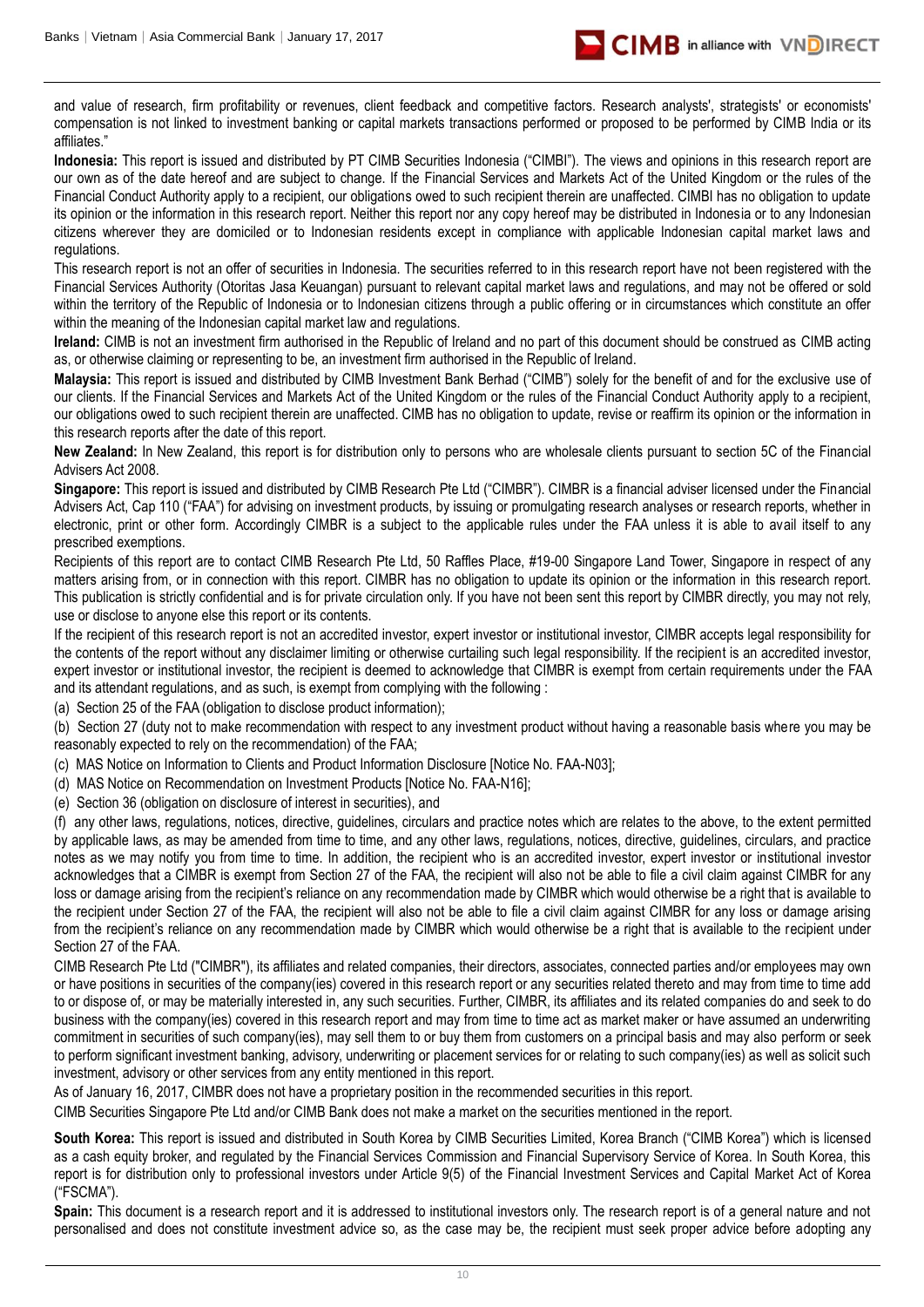

and value of research, firm profitability or revenues, client feedback and competitive factors. Research analysts', strategists' or economists' compensation is not linked to investment banking or capital markets transactions performed or proposed to be performed by CIMB India or its affiliates."

**Indonesia:** This report is issued and distributed by PT CIMB Securities Indonesia ("CIMBI"). The views and opinions in this research report are our own as of the date hereof and are subject to change. If the Financial Services and Markets Act of the United Kingdom or the rules of the Financial Conduct Authority apply to a recipient, our obligations owed to such recipient therein are unaffected. CIMBI has no obligation to update its opinion or the information in this research report. Neither this report nor any copy hereof may be distributed in Indonesia or to any Indonesian citizens wherever they are domiciled or to Indonesian residents except in compliance with applicable Indonesian capital market laws and regulations.

This research report is not an offer of securities in Indonesia. The securities referred to in this research report have not been registered with the Financial Services Authority (Otoritas Jasa Keuangan) pursuant to relevant capital market laws and regulations, and may not be offered or sold within the territory of the Republic of Indonesia or to Indonesian citizens through a public offering or in circumstances which constitute an offer within the meaning of the Indonesian capital market law and regulations.

**Ireland:** CIMB is not an investment firm authorised in the Republic of Ireland and no part of this document should be construed as CIMB acting as, or otherwise claiming or representing to be, an investment firm authorised in the Republic of Ireland.

**Malaysia:** This report is issued and distributed by CIMB Investment Bank Berhad ("CIMB") solely for the benefit of and for the exclusive use of our clients. If the Financial Services and Markets Act of the United Kingdom or the rules of the Financial Conduct Authority apply to a recipient, our obligations owed to such recipient therein are unaffected. CIMB has no obligation to update, revise or reaffirm its opinion or the information in this research reports after the date of this report.

**New Zealand:** In New Zealand, this report is for distribution only to persons who are wholesale clients pursuant to section 5C of the Financial Advisers Act 2008.

**Singapore:** This report is issued and distributed by CIMB Research Pte Ltd ("CIMBR"). CIMBR is a financial adviser licensed under the Financial Advisers Act, Cap 110 ("FAA") for advising on investment products, by issuing or promulgating research analyses or research reports, whether in electronic, print or other form. Accordingly CIMBR is a subject to the applicable rules under the FAA unless it is able to avail itself to any prescribed exemptions.

Recipients of this report are to contact CIMB Research Pte Ltd, 50 Raffles Place, #19-00 Singapore Land Tower, Singapore in respect of any matters arising from, or in connection with this report. CIMBR has no obligation to update its opinion or the information in this research report. This publication is strictly confidential and is for private circulation only. If you have not been sent this report by CIMBR directly, you may not rely, use or disclose to anyone else this report or its contents.

If the recipient of this research report is not an accredited investor, expert investor or institutional investor, CIMBR accepts legal responsibility for the contents of the report without any disclaimer limiting or otherwise curtailing such legal responsibility. If the recipient is an accredited investor, expert investor or institutional investor, the recipient is deemed to acknowledge that CIMBR is exempt from certain requirements under the FAA and its attendant regulations, and as such, is exempt from complying with the following :

(a) Section 25 of the FAA (obligation to disclose product information);

(b) Section 27 (duty not to make recommendation with respect to any investment product without having a reasonable basis where you may be reasonably expected to rely on the recommendation) of the FAA;

(c) MAS Notice on Information to Clients and Product Information Disclosure [Notice No. FAA-N03];

(d) MAS Notice on Recommendation on Investment Products [Notice No. FAA-N16];

(e) Section 36 (obligation on disclosure of interest in securities), and

(f) any other laws, regulations, notices, directive, guidelines, circulars and practice notes which are relates to the above, to the extent permitted by applicable laws, as may be amended from time to time, and any other laws, regulations, notices, directive, guidelines, circulars, and practice notes as we may notify you from time to time. In addition, the recipient who is an accredited investor, expert investor or institutional investor acknowledges that a CIMBR is exempt from Section 27 of the FAA, the recipient will also not be able to file a civil claim against CIMBR for any loss or damage arising from the recipient's reliance on any recommendation made by CIMBR which would otherwise be a right that is available to the recipient under Section 27 of the FAA, the recipient will also not be able to file a civil claim against CIMBR for any loss or damage arising from the recipient's reliance on any recommendation made by CIMBR which would otherwise be a right that is available to the recipient under Section 27 of the FAA.

CIMB Research Pte Ltd ("CIMBR"), its affiliates and related companies, their directors, associates, connected parties and/or employees may own or have positions in securities of the company(ies) covered in this research report or any securities related thereto and may from time to time add to or dispose of, or may be materially interested in, any such securities. Further, CIMBR, its affiliates and its related companies do and seek to do business with the company(ies) covered in this research report and may from time to time act as market maker or have assumed an underwriting commitment in securities of such company(ies), may sell them to or buy them from customers on a principal basis and may also perform or seek to perform significant investment banking, advisory, underwriting or placement services for or relating to such company(ies) as well as solicit such investment, advisory or other services from any entity mentioned in this report.

As of January 16, 2017, CIMBR does not have a proprietary position in the recommended securities in this report.

CIMB Securities Singapore Pte Ltd and/or CIMB Bank does not make a market on the securities mentioned in the report.

**South Korea:** This report is issued and distributed in South Korea by CIMB Securities Limited, Korea Branch ("CIMB Korea") which is licensed as a cash equity broker, and regulated by the Financial Services Commission and Financial Supervisory Service of Korea. In South Korea, this report is for distribution only to professional investors under Article 9(5) of the Financial Investment Services and Capital Market Act of Korea ("FSCMA").

**Spain:** This document is a research report and it is addressed to institutional investors only. The research report is of a general nature and not personalised and does not constitute investment advice so, as the case may be, the recipient must seek proper advice before adopting any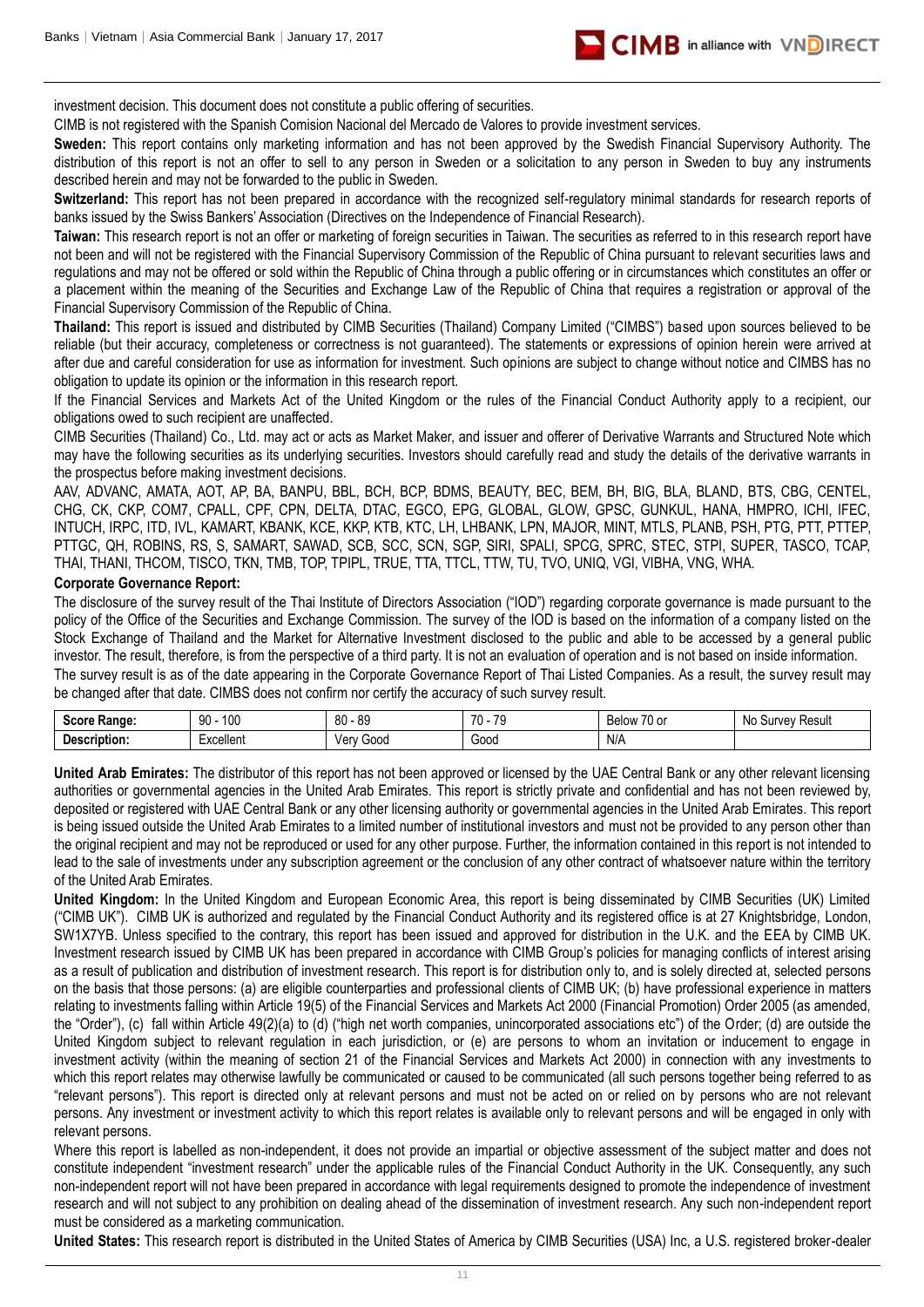

investment decision. This document does not constitute a public offering of securities.

CIMB is not registered with the Spanish Comision Nacional del Mercado de Valores to provide investment services.

**Sweden:** This report contains only marketing information and has not been approved by the Swedish Financial Supervisory Authority. The distribution of this report is not an offer to sell to any person in Sweden or a solicitation to any person in Sweden to buy any instruments described herein and may not be forwarded to the public in Sweden.

**Switzerland:** This report has not been prepared in accordance with the recognized self-regulatory minimal standards for research reports of banks issued by the Swiss Bankers' Association (Directives on the Independence of Financial Research).

**Taiwan:** This research report is not an offer or marketing of foreign securities in Taiwan. The securities as referred to in this research report have not been and will not be registered with the Financial Supervisory Commission of the Republic of China pursuant to relevant securities laws and regulations and may not be offered or sold within the Republic of China through a public offering or in circumstances which constitutes an offer or a placement within the meaning of the Securities and Exchange Law of the Republic of China that requires a registration or approval of the Financial Supervisory Commission of the Republic of China.

**Thailand:** This report is issued and distributed by CIMB Securities (Thailand) Company Limited ("CIMBS") based upon sources believed to be reliable (but their accuracy, completeness or correctness is not guaranteed). The statements or expressions of opinion herein were arrived at after due and careful consideration for use as information for investment. Such opinions are subject to change without notice and CIMBS has no obligation to update its opinion or the information in this research report.

If the Financial Services and Markets Act of the United Kingdom or the rules of the Financial Conduct Authority apply to a recipient, our obligations owed to such recipient are unaffected.

CIMB Securities (Thailand) Co., Ltd. may act or acts as Market Maker, and issuer and offerer of Derivative Warrants and Structured Note which may have the following securities as its underlying securities. Investors should carefully read and study the details of the derivative warrants in the prospectus before making investment decisions.

AAV, ADVANC, AMATA, AOT, AP, BA, BANPU, BBL, BCH, BCP, BDMS, BEAUTY, BEC, BEM, BH, BIG, BLA, BLAND, BTS, CBG, CENTEL, CHG, CK, CKP, COM7, CPALL, CPF, CPN, DELTA, DTAC, EGCO, EPG, GLOBAL, GLOW, GPSC, GUNKUL, HANA, HMPRO, ICHI, IFEC, INTUCH, IRPC, ITD, IVL, KAMART, KBANK, KCE, KKP, KTB, KTC, LH, LHBANK, LPN, MAJOR, MINT, MTLS, PLANB, PSH, PTG, PTT, PTTEP, PTTGC, QH, ROBINS, RS, S, SAMART, SAWAD, SCB, SCC, SCN, SGP, SIRI, SPALI, SPCG, SPRC, STEC, STPI, SUPER, TASCO, TCAP, THAI, THANI, THCOM, TISCO, TKN, TMB, TOP, TPIPL, TRUE, TTA, TTCL, TTW, TU, TVO, UNIQ, VGI, VIBHA, VNG, WHA.

#### **Corporate Governance Report:**

The disclosure of the survey result of the Thai Institute of Directors Association ("IOD") regarding corporate governance is made pursuant to the policy of the Office of the Securities and Exchange Commission. The survey of the IOD is based on the information of a company listed on the Stock Exchange of Thailand and the Market for Alternative Investment disclosed to the public and able to be accessed by a general public investor. The result, therefore, is from the perspective of a third party. It is not an evaluation of operation and is not based on inside information.

The survey result is as of the date appearing in the Corporate Governance Report of Thai Listed Companies. As a result, the survey result may be changed after that date. CIMBS does not confirm nor certify the accuracy of such survey result.

| Score<br>Range:     | 100<br>∩Ω<br>vv | n n<br>$\circ$<br>. ბ<br>υv | $\overline{\phantom{a}}$<br>$\rightarrow$ | $\overline{\phantom{a}}$<br>70 or<br><b>Below</b> | Result<br>N0<br>Survey |
|---------------------|-----------------|-----------------------------|-------------------------------------------|---------------------------------------------------|------------------------|
| <b>Description:</b> | :xcellen        | Good<br>Ver<br>আ            | Good                                      | N/A                                               |                        |

**United Arab Emirates:** The distributor of this report has not been approved or licensed by the UAE Central Bank or any other relevant licensing authorities or governmental agencies in the United Arab Emirates. This report is strictly private and confidential and has not been reviewed by, deposited or registered with UAE Central Bank or any other licensing authority or governmental agencies in the United Arab Emirates. This report is being issued outside the United Arab Emirates to a limited number of institutional investors and must not be provided to any person other than the original recipient and may not be reproduced or used for any other purpose. Further, the information contained in this report is not intended to lead to the sale of investments under any subscription agreement or the conclusion of any other contract of whatsoever nature within the territory of the United Arab Emirates.

**United Kingdom:** In the United Kingdom and European Economic Area, this report is being disseminated by CIMB Securities (UK) Limited ("CIMB UK"). CIMB UK is authorized and regulated by the Financial Conduct Authority and its registered office is at 27 Knightsbridge, London, SW1X7YB. Unless specified to the contrary, this report has been issued and approved for distribution in the U.K. and the EEA by CIMB UK. Investment research issued by CIMB UK has been prepared in accordance with CIMB Group's policies for managing conflicts of interest arising as a result of publication and distribution of investment research. This report is for distribution only to, and is solely directed at, selected persons on the basis that those persons: (a) are eligible counterparties and professional clients of CIMB UK; (b) have professional experience in matters relating to investments falling within Article 19(5) of the Financial Services and Markets Act 2000 (Financial Promotion) Order 2005 (as amended, the "Order"), (c) fall within Article 49(2)(a) to (d) ("high net worth companies, unincorporated associations etc") of the Order; (d) are outside the United Kingdom subject to relevant regulation in each jurisdiction, or (e) are persons to whom an invitation or inducement to engage in investment activity (within the meaning of section 21 of the Financial Services and Markets Act 2000) in connection with any investments to which this report relates may otherwise lawfully be communicated or caused to be communicated (all such persons together being referred to as "relevant persons"). This report is directed only at relevant persons and must not be acted on or relied on by persons who are not relevant persons. Any investment or investment activity to which this report relates is available only to relevant persons and will be engaged in only with relevant persons.

Where this report is labelled as non-independent, it does not provide an impartial or objective assessment of the subject matter and does not constitute independent "investment research" under the applicable rules of the Financial Conduct Authority in the UK. Consequently, any such non-independent report will not have been prepared in accordance with legal requirements designed to promote the independence of investment research and will not subject to any prohibition on dealing ahead of the dissemination of investment research. Any such non-independent report must be considered as a marketing communication.

**United States:** This research report is distributed in the United States of America by CIMB Securities (USA) Inc, a U.S. registered broker-dealer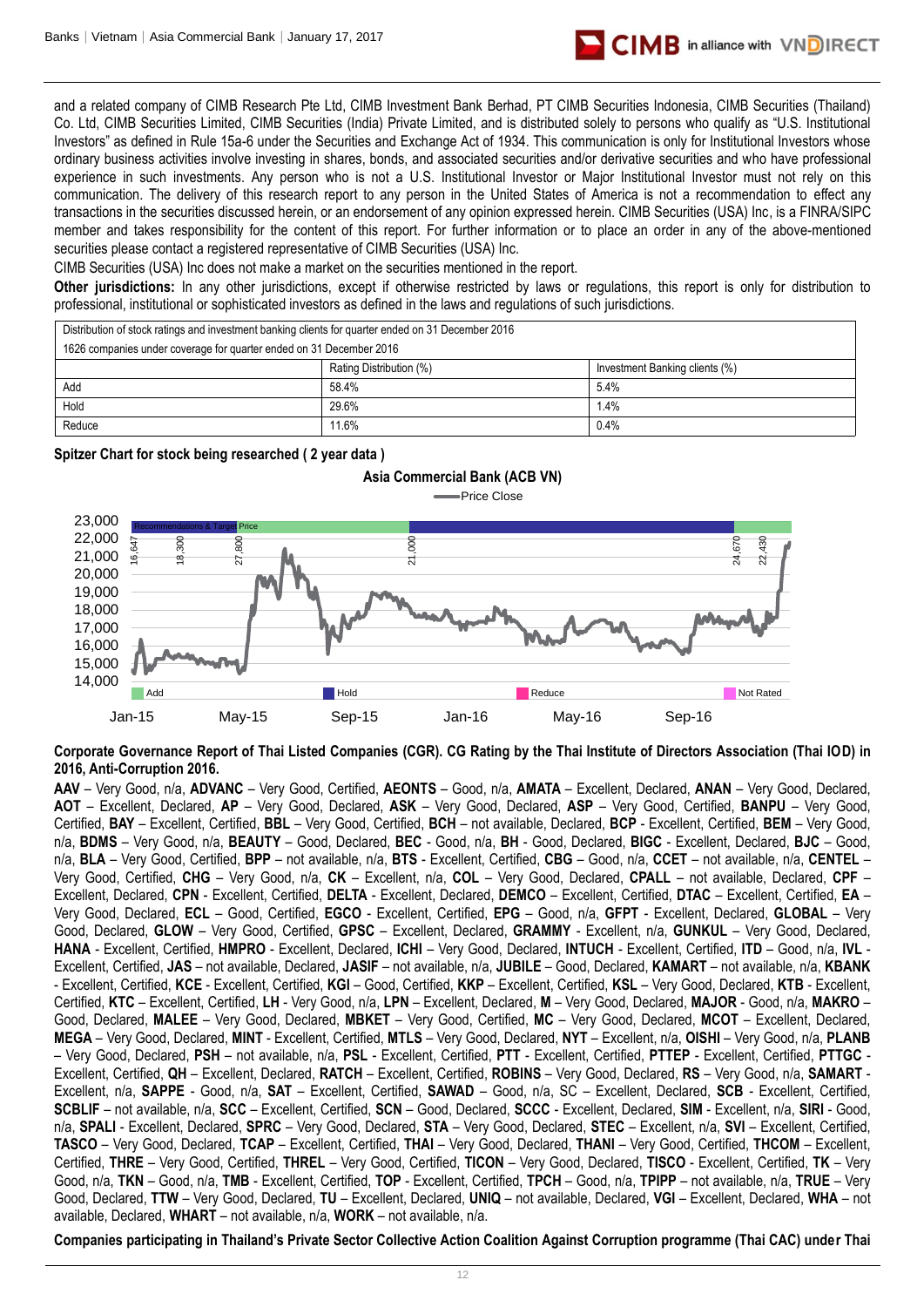

and a related company of CIMB Research Pte Ltd, CIMB Investment Bank Berhad, PT CIMB Securities Indonesia, CIMB Securities (Thailand) Co. Ltd, CIMB Securities Limited, CIMB Securities (India) Private Limited, and is distributed solely to persons who qualify as "U.S. Institutional Investors" as defined in Rule 15a-6 under the Securities and Exchange Act of 1934. This communication is only for Institutional Investors whose ordinary business activities involve investing in shares, bonds, and associated securities and/or derivative securities and who have professional experience in such investments. Any person who is not a U.S. Institutional Investor or Major Institutional Investor must not rely on this communication. The delivery of this research report to any person in the United States of America is not a recommendation to effect any transactions in the securities discussed herein, or an endorsement of any opinion expressed herein. CIMB Securities (USA) Inc, is a FINRA/SIPC member and takes responsibility for the content of this report. For further information or to place an order in any of the above-mentioned securities please contact a registered representative of CIMB Securities (USA) Inc.

CIMB Securities (USA) Inc does not make a market on the securities mentioned in the report.

**Other jurisdictions:** In any other jurisdictions, except if otherwise restricted by laws or regulations, this report is only for distribution to professional, institutional or sophisticated investors as defined in the laws and regulations of such jurisdictions.

Distribution of stock ratings and investment banking clients for quarter ended on 31 December 2016

| 1626 companies under coverage for quarter ended on 31 December 2016 |                         |                                |  |  |  |
|---------------------------------------------------------------------|-------------------------|--------------------------------|--|--|--|
|                                                                     | Rating Distribution (%) | Investment Banking clients (%) |  |  |  |
| Add                                                                 | 58.4%                   | 5.4%                           |  |  |  |
| Hold                                                                | 29.6%                   | 1.4%                           |  |  |  |
| Reduce                                                              | 11.6%                   | 0.4%                           |  |  |  |

**Spitzer Chart for stock being researched ( 2 year data )** 



**Corporate Governance Report of Thai Listed Companies (CGR). CG Rating by the Thai Institute of Directors Association (Thai IOD) in 2016, Anti-Corruption 2016.**

**AAV** – Very Good, n/a, **ADVANC** – Very Good, Certified, **AEONTS** – Good, n/a, **AMATA** – Excellent, Declared, **ANAN** – Very Good, Declared, **AOT** – Excellent, Declared, **AP** – Very Good, Declared, **ASK** – Very Good, Declared, **ASP** – Very Good, Certified, **BANPU** – Very Good, Certified, **BAY** – Excellent, Certified, **BBL** – Very Good, Certified, **BCH** – not available, Declared, **BCP** - Excellent, Certified, **BEM** – Very Good, n/a, **BDMS** – Very Good, n/a, **BEAUTY** – Good, Declared, **BEC** - Good, n/a, **BH** - Good, Declared, **BIGC** - Excellent, Declared, **BJC** – Good, n/a, **BLA** – Very Good, Certified, **BPP** – not available, n/a, **BTS** - Excellent, Certified, **CBG** – Good, n/a, **CCET** – not available, n/a, **CENTEL** – Very Good, Certified, **CHG** – Very Good, n/a, **CK** – Excellent, n/a, **COL** – Very Good, Declared, **CPALL** – not available, Declared, **CPF** – Excellent, Declared, **CPN** - Excellent, Certified, **DELTA** - Excellent, Declared, **DEMCO** – Excellent, Certified, **DTAC** – Excellent, Certified, **EA** – Very Good, Declared, **ECL** – Good, Certified, **EGCO** - Excellent, Certified, **EPG** – Good, n/a, **GFPT** - Excellent, Declared, **GLOBAL** – Very Good, Declared, **GLOW** – Very Good, Certified, **GPSC** – Excellent, Declared, **GRAMMY** - Excellent, n/a, **GUNKUL** – Very Good, Declared, **HANA** - Excellent, Certified, **HMPRO** - Excellent, Declared, **ICHI** – Very Good, Declared, **INTUCH** - Excellent, Certified, **ITD** – Good, n/a, **IVL** - Excellent, Certified, **JAS** – not available, Declared, **JASIF** – not available, n/a, **JUBILE** – Good, Declared, **KAMART** – not available, n/a, **KBANK** - Excellent, Certified, **KCE** - Excellent, Certified, **KGI** – Good, Certified, **KKP** – Excellent, Certified, **KSL** – Very Good, Declared, **KTB** - Excellent, Certified, **KTC** – Excellent, Certified, **LH** - Very Good, n/a, **LPN** – Excellent, Declared, **M** – Very Good, Declared, **MAJOR** - Good, n/a, **MAKRO** – Good, Declared, **MALEE** – Very Good, Declared, **MBKET** – Very Good, Certified, **MC** – Very Good, Declared, **MCOT** – Excellent, Declared, **MEGA** – Very Good, Declared, **MINT** - Excellent, Certified, **MTLS** – Very Good, Declared, **NYT** – Excellent, n/a, **OISHI** – Very Good, n/a, **PLANB** – Very Good, Declared, **PSH** – not available, n/a, **PSL** - Excellent, Certified, **PTT** - Excellent, Certified, **PTTEP** - Excellent, Certified, **PTTGC** - Excellent, Certified, **QH** – Excellent, Declared, **RATCH** – Excellent, Certified, **ROBINS** – Very Good, Declared, **RS** – Very Good, n/a, **SAMART** - Excellent, n/a, **SAPPE** - Good, n/a, **SAT** – Excellent, Certified, **SAWAD** – Good, n/a, SC – Excellent, Declared, **SCB** - Excellent, Certified, **SCBLIF** – not available, n/a, **SCC** – Excellent, Certified, **SCN** – Good, Declared, **SCCC** - Excellent, Declared, **SIM** - Excellent, n/a, **SIRI** - Good, n/a, **SPALI** - Excellent, Declared, **SPRC** – Very Good, Declared, **STA** – Very Good, Declared, **STEC** – Excellent, n/a, **SVI** – Excellent, Certified, **TASCO** – Very Good, Declared, **TCAP** – Excellent, Certified, **THAI** – Very Good, Declared, **THANI** – Very Good, Certified, **THCOM** – Excellent, Certified, **THRE** – Very Good, Certified, **THREL** – Very Good, Certified, **TICON** – Very Good, Declared, **TISCO** - Excellent, Certified, **TK** – Very Good, n/a, **TKN** – Good, n/a, **TMB** - Excellent, Certified, **TOP** - Excellent, Certified, **TPCH** – Good, n/a, **TPIPP** – not available, n/a, **TRUE** – Very Good, Declared, **TTW** – Very Good, Declared, **TU** – Excellent, Declared, **UNIQ** – not available, Declared, **VGI** – Excellent, Declared, **WHA** – not available, Declared, **WHART** – not available, n/a, **WORK** – not available, n/a. Companies participation Companies participation Companies participation Companies participation Companies participation Constraint Corruption Against Corruption Against Corruption Against Corruption Against Corruption Agai